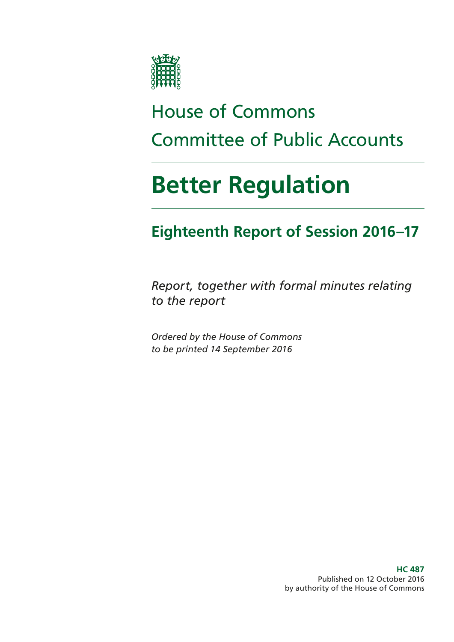

# House of Commons Committee of Public Accounts

# **Better Regulation**

# **Eighteenth Report of Session 2016–17**

*Report, together with formal minutes relating to the report*

*Ordered by the House of Commons to be printed 14 September 2016*

> **HC 487** Published on 12 October 2016 by authority of the House of Commons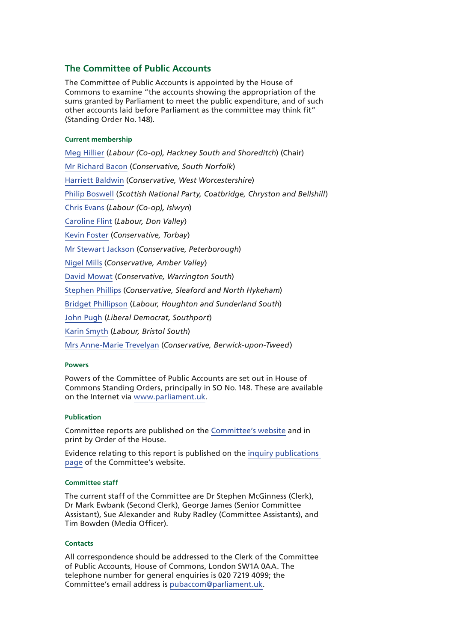#### **The Committee of Public Accounts**

The Committee of Public Accounts is appointed by the House of Commons to examine "the accounts showing the appropriation of the sums granted by Parliament to meet the public expenditure, and of such other accounts laid before Parliament as the committee may think fit" (Standing Order No.148).

#### **Current membership**

[Meg Hillier](http://www.parliament.uk/biographies/commons/meg-hillier/1524) (*Labour (Co-op), Hackney South and Shoreditch*) (Chair) [Mr Richard Bacon](http://www.parliament.uk/biographies/commons/mr-richard-bacon/1451) (*Conservative, South Norfolk*) [Harriett Baldwin](http://www.parliament.uk/biographies/commons/harriett-baldwin/4107) (*Conservative, West Worcestershire*) [Philip Boswell](https://www.parliament.uk/biographies/commons/philip-boswell/4388) (*Scottish National Party, Coatbridge, Chryston and Bellshill*) [Chris Evans](http://www.parliament.uk/biographies/commons/chris-evans/4040) (*Labour (Co-op), Islwyn*) [Caroline Flint](http://www.parliament.uk/biographies/commons/caroline-flint/389) (*Labour, Don Valley*) [Kevin Foster](http://www.parliament.uk/biographies/commons/kevin-foster/4451) (*Conservative, Torbay*) [Mr Stewart Jackson](http://www.parliament.uk/biographies/commons/mr-stewart-jackson/1551) (*Conservative, Peterborough*) [Nigel Mills](http://www.parliament.uk/biographies/commons/nigel-mills/4136) (*Conservative, Amber Valley*) [David Mowat](http://www.parliament.uk/biographies/commons/david-mowat/4080) (*Conservative, Warrington South*) [Stephen Phillips](http://www.parliament.uk/biographies/commons/stephen-phillips/4054) (*Conservative, Sleaford and North Hykeham*) [Bridget Phillipson](http://www.parliament.uk/biographies/commons/bridget-phillipson/4046) (*Labour, Houghton and Sunderland South*) [John Pugh](http://www.parliament.uk/biographies/commons/john-pugh/1454) (*Liberal Democrat, Southport*) [Karin Smyth](http://www.parliament.uk/biographies/commons/karin-smyth/4444) (*Labour, Bristol South*) [Mrs Anne-Marie Trevelyan](http://www.parliament.uk/biographies/commons/mrs-anne-marie-trevelyan/4531) (*Conservative, Berwick-upon-Tweed*)

#### **Powers**

Powers of the Committee of Public Accounts are set out in House of Commons Standing Orders, principally in SO No.148. These are available on the Internet via [www.parliament.uk.](http://www.parliament.uk)

#### **Publication**

Committee reports are published on the [Committee's website](http://www.parliament.uk/business/committees/committees-a-z/commons-select/public-accounts-committee/) and in print by Order of the House.

Evidence relating to this report is published on the [inquiry publications](https://www.parliament.uk/business/committees/committees-a-z/commons-select/public-accounts-committee/inquiries/parliament-2015/better-regulation-16-17/publications/)  [page](https://www.parliament.uk/business/committees/committees-a-z/commons-select/public-accounts-committee/inquiries/parliament-2015/better-regulation-16-17/publications/) of the Committee's website.

#### **Committee staff**

The current staff of the Committee are Dr Stephen McGinness (Clerk), Dr Mark Ewbank (Second Clerk), George James (Senior Committee Assistant), Sue Alexander and Ruby Radley (Committee Assistants), and Tim Bowden (Media Officer).

#### **Contacts**

All correspondence should be addressed to the Clerk of the Committee of Public Accounts, House of Commons, London SW1A 0AA. The telephone number for general enquiries is 020 7219 4099; the Committee's email address is [pubaccom@parliament.uk.](mailto:pubaccom@parliament.uk)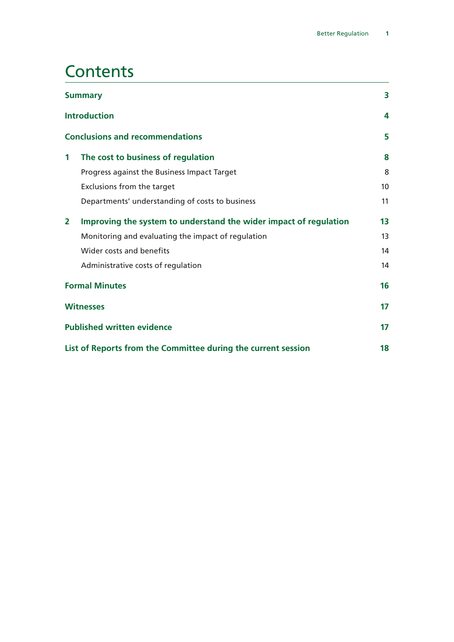## **Contents**

|                | <b>Summary</b>                                                    | 3               |
|----------------|-------------------------------------------------------------------|-----------------|
|                | <b>Introduction</b>                                               | 4               |
|                | <b>Conclusions and recommendations</b>                            | 5               |
| 1              | The cost to business of regulation                                | 8               |
|                | Progress against the Business Impact Target                       | 8               |
|                | Exclusions from the target                                        | 10 <sup>1</sup> |
|                | Departments' understanding of costs to business                   | 11              |
| $\overline{2}$ | Improving the system to understand the wider impact of regulation | 13              |
|                | Monitoring and evaluating the impact of regulation                | 13              |
|                | Wider costs and benefits                                          | 14              |
|                | Administrative costs of regulation                                | 14              |
|                | <b>Formal Minutes</b>                                             | 16              |
|                | <b>Witnesses</b>                                                  | 17              |
|                | <b>Published written evidence</b>                                 | 17              |
|                | List of Reports from the Committee during the current session     | 18              |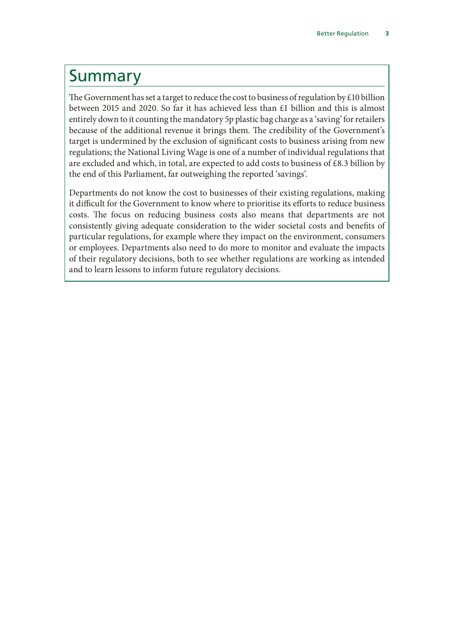### <span id="page-4-0"></span>Summary

The Government has set a target to reduce the cost to business of regulation by  $\text{\pounds}10$  billion between 2015 and 2020. So far it has achieved less than £1 billion and this is almost entirely down to it counting the mandatory 5p plastic bag charge as a 'saving' for retailers because of the additional revenue it brings them. The credibility of the Government's target is undermined by the exclusion of significant costs to business arising from new regulations; the National Living Wage is one of a number of individual regulations that are excluded and which, in total, are expected to add costs to business of £8.3 billion by the end of this Parliament, far outweighing the reported 'savings'.

Departments do not know the cost to businesses of their existing regulations, making it difficult for the Government to know where to prioritise its efforts to reduce business costs. The focus on reducing business costs also means that departments are not consistently giving adequate consideration to the wider societal costs and benefits of particular regulations, for example where they impact on the environment, consumers or employees. Departments also need to do more to monitor and evaluate the impacts of their regulatory decisions, both to see whether regulations are working as intended and to learn lessons to inform future regulatory decisions.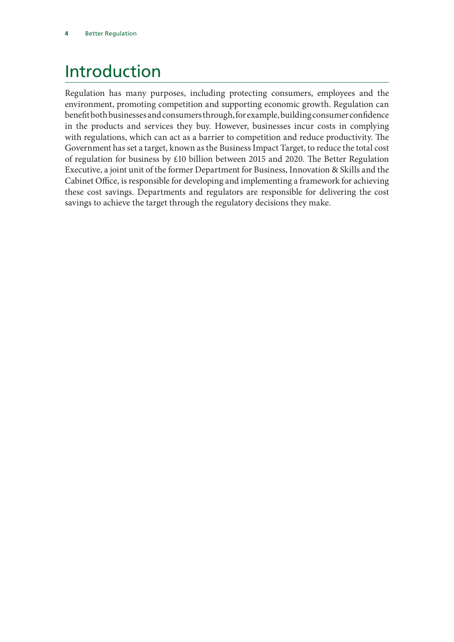# <span id="page-5-0"></span>Introduction

Regulation has many purposes, including protecting consumers, employees and the environment, promoting competition and supporting economic growth. Regulation can benefit both businesses and consumers through, for example, building consumer confidence in the products and services they buy. However, businesses incur costs in complying with regulations, which can act as a barrier to competition and reduce productivity. The Government has set a target, known as the Business Impact Target, to reduce the total cost of regulation for business by £10 billion between 2015 and 2020. The Better Regulation Executive, a joint unit of the former Department for Business, Innovation & Skills and the Cabinet Office, is responsible for developing and implementing a framework for achieving these cost savings. Departments and regulators are responsible for delivering the cost savings to achieve the target through the regulatory decisions they make.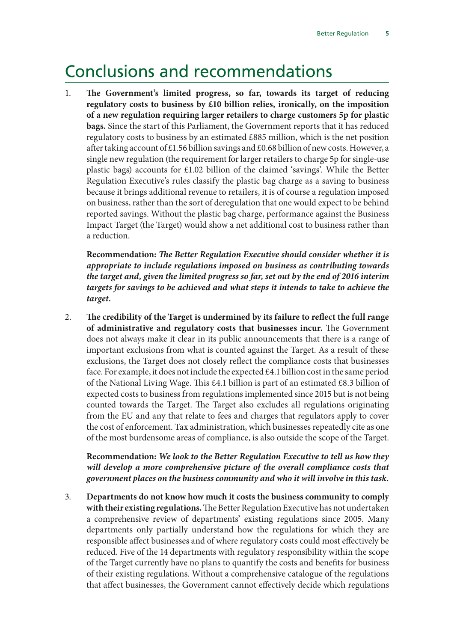### <span id="page-6-0"></span>Conclusions and recommendations

1. **The Government's limited progress, so far, towards its target of reducing regulatory costs to business by £10 billion relies, ironically, on the imposition of a new regulation requiring larger retailers to charge customers 5p for plastic bags.** Since the start of this Parliament, the Government reports that it has reduced regulatory costs to business by an estimated £885 million, which is the net position after taking account of £1.56 billion savings and £0.68 billion of new costs. However, a single new regulation (the requirement for larger retailers to charge 5p for single-use plastic bags) accounts for £1.02 billion of the claimed 'savings'. While the Better Regulation Executive's rules classify the plastic bag charge as a saving to business because it brings additional revenue to retailers, it is of course a regulation imposed on business, rather than the sort of deregulation that one would expect to be behind reported savings. Without the plastic bag charge, performance against the Business Impact Target (the Target) would show a net additional cost to business rather than a reduction.

**Recommendation:** *The Better Regulation Executive should consider whether it is appropriate to include regulations imposed on business as contributing towards the target and, given the limited progress so far, set out by the end of 2016 interim targets for savings to be achieved and what steps it intends to take to achieve the target.*

2. **The credibility of the Target is undermined by its failure to reflect the full range of administrative and regulatory costs that businesses incur.** The Government does not always make it clear in its public announcements that there is a range of important exclusions from what is counted against the Target. As a result of these exclusions, the Target does not closely reflect the compliance costs that businesses face. For example, it does not include the expected  $\text{\pounds}4.1$  billion cost in the same period of the National Living Wage. This £4.1 billion is part of an estimated £8.3 billion of expected costs to business from regulations implemented since 2015 but is not being counted towards the Target. The Target also excludes all regulations originating from the EU and any that relate to fees and charges that regulators apply to cover the cost of enforcement. Tax administration, which businesses repeatedly cite as one of the most burdensome areas of compliance, is also outside the scope of the Target.

#### **Recommendation:** *We look to the Better Regulation Executive to tell us how they will develop a more comprehensive picture of the overall compliance costs that government places on the business community and who it will involve in this task.*

3. **Departments do not know how much it costs the business community to comply with their existing regulations.** The Better Regulation Executive has not undertaken a comprehensive review of departments' existing regulations since 2005. Many departments only partially understand how the regulations for which they are responsible affect businesses and of where regulatory costs could most effectively be reduced. Five of the 14 departments with regulatory responsibility within the scope of the Target currently have no plans to quantify the costs and benefits for business of their existing regulations. Without a comprehensive catalogue of the regulations that affect businesses, the Government cannot effectively decide which regulations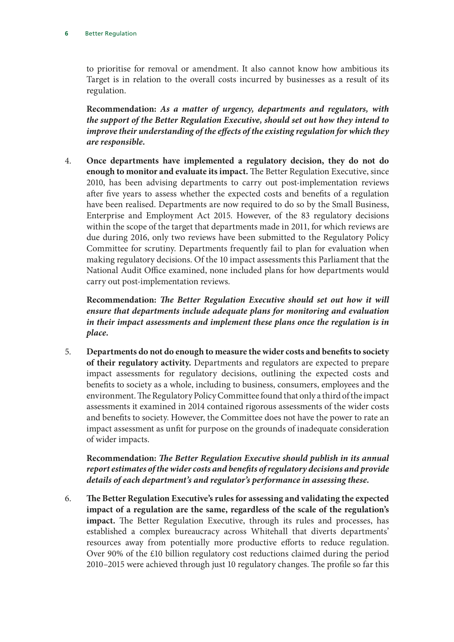to prioritise for removal or amendment. It also cannot know how ambitious its Target is in relation to the overall costs incurred by businesses as a result of its regulation.

**Recommendation:** *As a matter of urgency, departments and regulators, with the support of the Better Regulation Executive, should set out how they intend to improve their understanding of the effects of the existing regulation for which they are responsible.*

4. **Once departments have implemented a regulatory decision, they do not do enough to monitor and evaluate its impact.** The Better Regulation Executive, since 2010, has been advising departments to carry out post-implementation reviews after five years to assess whether the expected costs and benefits of a regulation have been realised. Departments are now required to do so by the Small Business, Enterprise and Employment Act 2015. However, of the 83 regulatory decisions within the scope of the target that departments made in 2011, for which reviews are due during 2016, only two reviews have been submitted to the Regulatory Policy Committee for scrutiny. Departments frequently fail to plan for evaluation when making regulatory decisions. Of the 10 impact assessments this Parliament that the National Audit Office examined, none included plans for how departments would carry out post-implementation reviews.

**Recommendation:** *The Better Regulation Executive should set out how it will ensure that departments include adequate plans for monitoring and evaluation in their impact assessments and implement these plans once the regulation is in place.*

5. **Departments do not do enough to measure the wider costs and benefits to society of their regulatory activity.** Departments and regulators are expected to prepare impact assessments for regulatory decisions, outlining the expected costs and benefits to society as a whole, including to business, consumers, employees and the environment. The Regulatory Policy Committee found that only a third of the impact assessments it examined in 2014 contained rigorous assessments of the wider costs and benefits to society. However, the Committee does not have the power to rate an impact assessment as unfit for purpose on the grounds of inadequate consideration of wider impacts.

**Recommendation:** *The Better Regulation Executive should publish in its annual report estimates of the wider costs and benefits of regulatory decisions and provide details of each department's and regulator's performance in assessing these.*

6. **The Better Regulation Executive's rules for assessing and validating the expected impact of a regulation are the same, regardless of the scale of the regulation's impact.** The Better Regulation Executive, through its rules and processes, has established a complex bureaucracy across Whitehall that diverts departments' resources away from potentially more productive efforts to reduce regulation. Over 90% of the £10 billion regulatory cost reductions claimed during the period 2010–2015 were achieved through just 10 regulatory changes. The profile so far this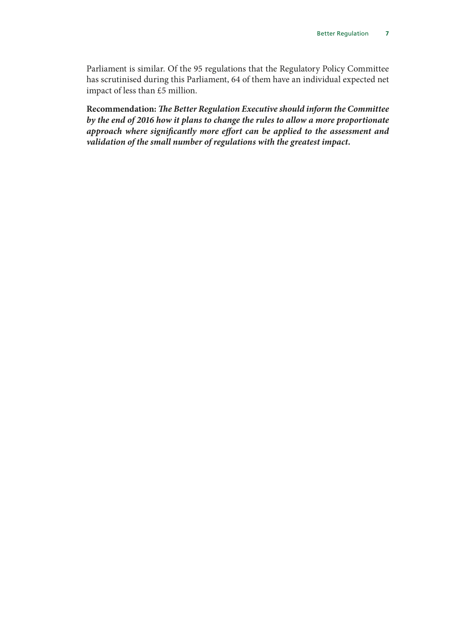Parliament is similar. Of the 95 regulations that the Regulatory Policy Committee has scrutinised during this Parliament, 64 of them have an individual expected net impact of less than £5 million.

**Recommendation:** *The Better Regulation Executive should inform the Committee by the end of 2016 how it plans to change the rules to allow a more proportionate approach where significantly more effort can be applied to the assessment and validation of the small number of regulations with the greatest impact.*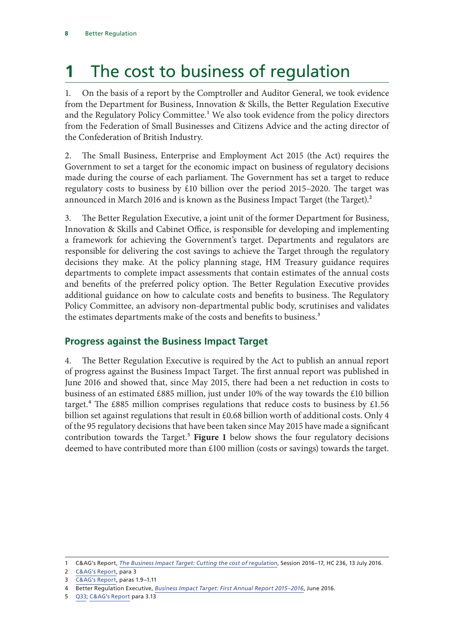# <span id="page-9-0"></span>**1** The cost to business of regulation

1. On the basis of a report by the Comptroller and Auditor General, we took evidence from the Department for Business, Innovation & Skills, the Better Regulation Executive and the Regulatory Policy Committee.<sup>1</sup> We also took evidence from the policy directors from the Federation of Small Businesses and Citizens Advice and the acting director of the Confederation of British Industry.

2. The Small Business, Enterprise and Employment Act 2015 (the Act) requires the Government to set a target for the economic impact on business of regulatory decisions made during the course of each parliament. The Government has set a target to reduce regulatory costs to business by £10 billion over the period 2015–2020. The target was announced in March 2016 and is known as the Business Impact Target (the Target).<sup>2</sup>

3. The Better Regulation Executive, a joint unit of the former Department for Business, Innovation & Skills and Cabinet Office, is responsible for developing and implementing a framework for achieving the Government's target. Departments and regulators are responsible for delivering the cost savings to achieve the Target through the regulatory decisions they make. At the policy planning stage, HM Treasury guidance requires departments to complete impact assessments that contain estimates of the annual costs and benefits of the preferred policy option. The Better Regulation Executive provides additional guidance on how to calculate costs and benefits to business. The Regulatory Policy Committee, an advisory non-departmental public body, scrutinises and validates the estimates departments make of the costs and benefits to business.<sup>3</sup>

### **Progress against the Business Impact Target**

4. The Better Regulation Executive is required by the Act to publish an annual report of progress against the Business Impact Target. The first annual report was published in June 2016 and showed that, since May 2015, there had been a net reduction in costs to business of an estimated £885 million, just under 10% of the way towards the £10 billion target.<sup>4</sup> The £885 million comprises regulations that reduce costs to business by £1.56 billion set against regulations that result in £0.68 billion worth of additional costs. Only 4 of the 95 regulatory decisions that have been taken since May 2015 have made a significant contribution towards the Target.<sup>5</sup> Figure 1 below shows the four regulatory decisions deemed to have contributed more than £100 million (costs or savings) towards the target.

<sup>1</sup> C&AG's Report, *[The Business Impact Target: Cutting the cost of regulation](https://www.nao.org.uk/wp-content/uploads/2016/06/The-Business-Impact-Target-cutting-the-cost-of-regulation.pdf)*, Session 2016–17, HC 236, 13 July 2016.

<sup>2</sup> [C&AG's Report](https://www.nao.org.uk/wp-content/uploads/2016/06/The-Business-Impact-Target-cutting-the-cost-of-regulation.pdf), para 3

<sup>3</sup> [C&AG's Report](https://www.nao.org.uk/wp-content/uploads/2016/06/The-Business-Impact-Target-cutting-the-cost-of-regulation.pdf), paras 1.9–1.11

<sup>4</sup> Better Regulation Executive, *[Business Impact Target: First Annual Report 2015–2016](https://www.gov.uk/government/uploads/system/uploads/attachment_data/file/530683/bis-16-182-bit-annual-report.pdf)*, June 2016.

<sup>5</sup> [Q33](http://data.parliament.uk/writtenevidence/committeeevidence.svc/evidencedocument/public-accounts-committee/better-regulation/oral/35097.pdf); [C&AG's Report](https://www.nao.org.uk/wp-content/uploads/2016/06/The-Business-Impact-Target-cutting-the-cost-of-regulation.pdf) para 3.13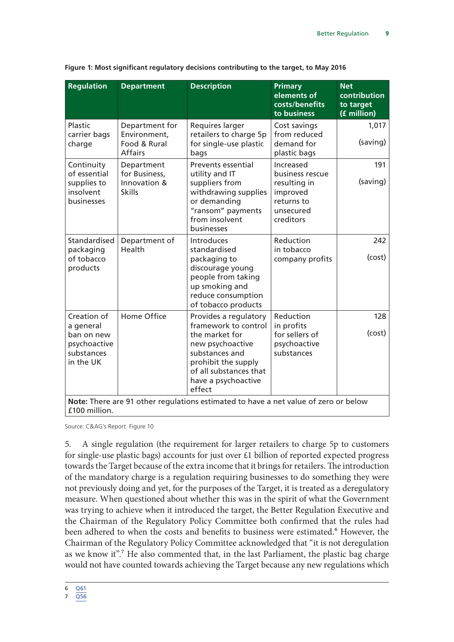| <b>Regulation</b>                                                                                    | <b>Department</b>                                                | <b>Description</b>                                                                                                                                                                      | <b>Primary</b><br>elements of<br>costs/benefits<br>to business                                   | <b>Net</b><br>contribution<br>to target<br>(£ million) |  |
|------------------------------------------------------------------------------------------------------|------------------------------------------------------------------|-----------------------------------------------------------------------------------------------------------------------------------------------------------------------------------------|--------------------------------------------------------------------------------------------------|--------------------------------------------------------|--|
| Plastic<br>carrier bags<br>charge                                                                    | Department for<br>Environment,<br>Food & Rural<br><b>Affairs</b> | Requires larger<br>retailers to charge 5p<br>for single-use plastic<br>bags                                                                                                             | Cost savings<br>from reduced<br>demand for<br>plastic bags                                       | 1,017<br>(saving)                                      |  |
| Continuity<br>of essential<br>supplies to<br>insolvent<br>businesses                                 | Department<br>for Business,<br>Innovation &<br><b>Skills</b>     | <b>Prevents essential</b><br>utility and IT<br>suppliers from<br>withdrawing supplies<br>or demanding<br>"ransom" payments<br>from insolvent<br>businesses                              | Increased<br>business rescue<br>resulting in<br>improved<br>returns to<br>unsecured<br>creditors | 191<br>(saving)                                        |  |
| Standardised<br>packaging<br>of tobacco<br>products                                                  | Department of<br>Health                                          | Introduces<br>standardised<br>packaging to<br>discourage young<br>people from taking<br>up smoking and<br>reduce consumption<br>of tobacco products                                     | Reduction<br>in tobacco<br>company profits                                                       | 242<br>(cost)                                          |  |
| Creation of<br>a general<br>ban on new<br>psychoactive<br>substances<br>in the UK                    | Home Office                                                      | Provides a regulatory<br>framework to control<br>the market for<br>new psychoactive<br>substances and<br>prohibit the supply<br>of all substances that<br>have a psychoactive<br>effect | Reduction<br>in profits<br>for sellers of<br>psychoactive<br>substances                          | 128<br>(cost)                                          |  |
| Note: There are 91 other regulations estimated to have a net value of zero or below<br>£100 million. |                                                                  |                                                                                                                                                                                         |                                                                                                  |                                                        |  |

|  |  | Figure 1: Most significant regulatory decisions contributing to the target, to May 2016 |  |  |  |
|--|--|-----------------------------------------------------------------------------------------|--|--|--|
|--|--|-----------------------------------------------------------------------------------------|--|--|--|

Source: C&AG's Report. Figure 10

5. A single regulation (the requirement for larger retailers to charge 5p to customers for single-use plastic bags) accounts for just over £1 billion of reported expected progress towards the Target because of the extra income that it brings for retailers. The introduction of the mandatory charge is a regulation requiring businesses to do something they were not previously doing and yet, for the purposes of the Target, it is treated as a deregulatory measure. When questioned about whether this was in the spirit of what the Government was trying to achieve when it introduced the target, the Better Regulation Executive and the Chairman of the Regulatory Policy Committee both confirmed that the rules had been adhered to when the costs and benefits to business were estimated.<sup>6</sup> However, the Chairman of the Regulatory Policy Committee acknowledged that "it is not deregulation as we know it".<sup>7</sup> He also commented that, in the last Parliament, the plastic bag charge would not have counted towards achieving the Target because any new regulations which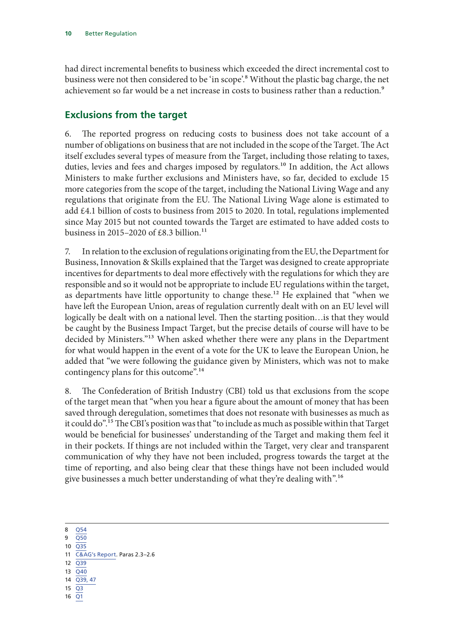<span id="page-11-0"></span>had direct incremental benefits to business which exceeded the direct incremental cost to business were not then considered to be 'in scope'.8 Without the plastic bag charge, the net achievement so far would be a net increase in costs to business rather than a reduction.<sup>9</sup>

### **Exclusions from the target**

6. The reported progress on reducing costs to business does not take account of a number of obligations on business that are not included in the scope of the Target. The Act itself excludes several types of measure from the Target, including those relating to taxes, duties, levies and fees and charges imposed by regulators.<sup>10</sup> In addition, the Act allows Ministers to make further exclusions and Ministers have, so far, decided to exclude 15 more categories from the scope of the target, including the National Living Wage and any regulations that originate from the EU. The National Living Wage alone is estimated to add £4.1 billion of costs to business from 2015 to 2020. In total, regulations implemented since May 2015 but not counted towards the Target are estimated to have added costs to business in 2015-2020 of £8.3 billion.<sup>11</sup>

7. In relation to the exclusion of regulations originating from the EU, the Department for Business, Innovation & Skills explained that the Target was designed to create appropriate incentives for departments to deal more effectively with the regulations for which they are responsible and so it would not be appropriate to include EU regulations within the target, as departments have little opportunity to change these.<sup>12</sup> He explained that "when we have left the European Union, areas of regulation currently dealt with on an EU level will logically be dealt with on a national level. Then the starting position…is that they would be caught by the Business Impact Target, but the precise details of course will have to be decided by Ministers."13 When asked whether there were any plans in the Department for what would happen in the event of a vote for the UK to leave the European Union, he added that "we were following the guidance given by Ministers, which was not to make contingency plans for this outcome".14

8. The Confederation of British Industry (CBI) told us that exclusions from the scope of the target mean that "when you hear a figure about the amount of money that has been saved through deregulation, sometimes that does not resonate with businesses as much as it could do".15 The CBI's position was that "to include as much as possible within that Target would be beneficial for businesses' understanding of the Target and making them feel it in their pockets. If things are not included within the Target, very clear and transparent communication of why they have not been included, progress towards the target at the time of reporting, and also being clear that these things have not been included would give businesses a much better understanding of what they're dealing with".16

8 [Q54](http://data.parliament.uk/writtenevidence/committeeevidence.svc/evidencedocument/public-accounts-committee/better-regulation/oral/35097.pdf)

- 9 [Q50](http://data.parliament.uk/writtenevidence/committeeevidence.svc/evidencedocument/public-accounts-committee/better-regulation/oral/35097.pdf)
- $10$   $\overline{O35}$
- 11 [C&AG's Report](https://www.nao.org.uk/wp-content/uploads/2016/06/The-Business-Impact-Target-cutting-the-cost-of-regulation.pdf). Paras 2.3–2.6
- 12 [Q39](http://data.parliament.uk/writtenevidence/committeeevidence.svc/evidencedocument/public-accounts-committee/better-regulation/oral/35097.pdf)
- $13\overline{O40}$
- 14 [Q39, 47](http://data.parliament.uk/writtenevidence/committeeevidence.svc/evidencedocument/public-accounts-committee/better-regulation/oral/35097.pdf)
- 15 [Q3](http://data.parliament.uk/writtenevidence/committeeevidence.svc/evidencedocument/public-accounts-committee/better-regulation/oral/35097.pdf)
- 16 [Q1](http://data.parliament.uk/writtenevidence/committeeevidence.svc/evidencedocument/public-accounts-committee/better-regulation/oral/35097.pdf)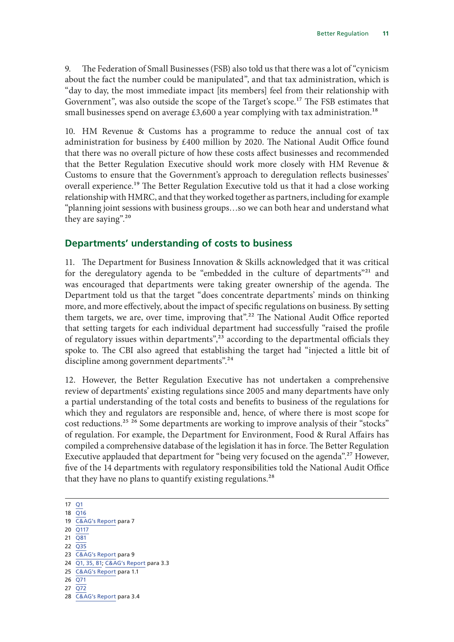<span id="page-12-0"></span>9. The Federation of Small Businesses (FSB) also told us that there was a lot of "cynicism about the fact the number could be manipulated", and that tax administration, which is "day to day, the most immediate impact [its members] feel from their relationship with Government", was also outside the scope of the Target's scope.<sup>17</sup> The FSB estimates that small businesses spend on average  $£3,600$  a year complying with tax administration.<sup>18</sup>

10. HM Revenue & Customs has a programme to reduce the annual cost of tax administration for business by £400 million by 2020. The National Audit Office found that there was no overall picture of how these costs affect businesses and recommended that the Better Regulation Executive should work more closely with HM Revenue & Customs to ensure that the Government's approach to deregulation reflects businesses' overall experience.<sup>19</sup> The Better Regulation Executive told us that it had a close working relationship with HMRC, and that they worked together as partners, including for example "planning joint sessions with business groups…so we can both hear and understand what they are saying".<sup>20</sup>

#### **Departments' understanding of costs to business**

11. The Department for Business Innovation & Skills acknowledged that it was critical for the deregulatory agenda to be "embedded in the culture of departments"<sup>21</sup> and was encouraged that departments were taking greater ownership of the agenda. The Department told us that the target "does concentrate departments' minds on thinking more, and more effectively, about the impact of specific regulations on business. By setting them targets, we are, over time, improving that".<sup>22</sup> The National Audit Office reported that setting targets for each individual department had successfully "raised the profile of regulatory issues within departments",<sup>23</sup> according to the departmental officials they spoke to. The CBI also agreed that establishing the target had "injected a little bit of discipline among government departments".<sup>24</sup>

12. However, the Better Regulation Executive has not undertaken a comprehensive review of departments' existing regulations since 2005 and many departments have only a partial understanding of the total costs and benefits to business of the regulations for which they and regulators are responsible and, hence, of where there is most scope for cost reductions.<sup>25</sup> <sup>26</sup> Some departments are working to improve analysis of their "stocks" of regulation. For example, the Department for Environment, Food & Rural Affairs has compiled a comprehensive database of the legislation it has in force. The Better Regulation Executive applauded that department for "being very focused on the agenda".<sup>27</sup> However, five of the 14 departments with regulatory responsibilities told the National Audit Office that they have no plans to quantify existing regulations.<sup>28</sup>

17 [Q1](http://data.parliament.uk/writtenevidence/committeeevidence.svc/evidencedocument/public-accounts-committee/better-regulation/oral/35097.pdf) 18 [Q16](http://data.parliament.uk/writtenevidence/committeeevidence.svc/evidencedocument/public-accounts-committee/better-regulation/oral/35097.pdf) 19 [C&AG's Report](https://www.nao.org.uk/wp-content/uploads/2016/06/The-Business-Impact-Target-cutting-the-cost-of-regulation.pdf) para 7 20 [Q117](http://data.parliament.uk/writtenevidence/committeeevidence.svc/evidencedocument/public-accounts-committee/better-regulation/oral/35097.pdf) 21 [Q81](http://data.parliament.uk/writtenevidence/committeeevidence.svc/evidencedocument/public-accounts-committee/better-regulation/oral/35097.pdf) 22 [Q35](http://data.parliament.uk/writtenevidence/committeeevidence.svc/evidencedocument/public-accounts-committee/better-regulation/oral/35097.pdf) 23 [C&AG's Report](https://www.nao.org.uk/wp-content/uploads/2016/06/The-Business-Impact-Target-cutting-the-cost-of-regulation.pdf) para 9 24 [Q1, 35, 81;](http://data.parliament.uk/writtenevidence/committeeevidence.svc/evidencedocument/public-accounts-committee/better-regulation/oral/35097.pdf) [C&AG's Report](https://www.nao.org.uk/wp-content/uploads/2016/06/The-Business-Impact-Target-cutting-the-cost-of-regulation.pdf) para 3.3 25 [C&AG's Report](https://www.nao.org.uk/wp-content/uploads/2016/06/The-Business-Impact-Target-cutting-the-cost-of-regulation.pdf) para 1.1 26 [Q71](http://data.parliament.uk/writtenevidence/committeeevidence.svc/evidencedocument/public-accounts-committee/better-regulation/oral/35097.pdf) 27 [Q72](http://data.parliament.uk/writtenevidence/committeeevidence.svc/evidencedocument/public-accounts-committee/better-regulation/oral/35097.pdf) 28 [C&AG's Report](https://www.nao.org.uk/wp-content/uploads/2016/06/The-Business-Impact-Target-cutting-the-cost-of-regulation.pdf) para 3.4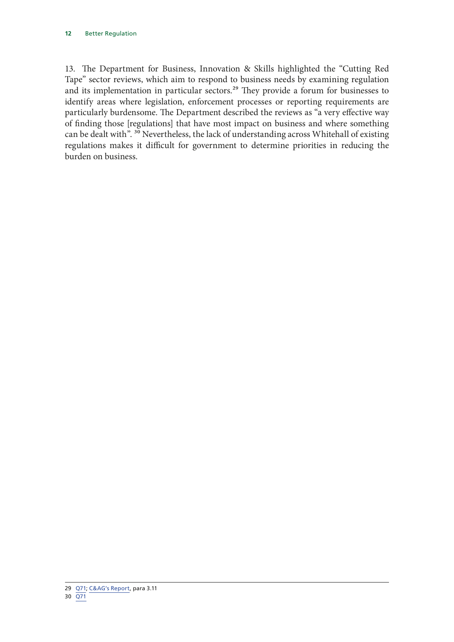13. The Department for Business, Innovation & Skills highlighted the "Cutting Red Tape" sector reviews, which aim to respond to business needs by examining regulation and its implementation in particular sectors.<sup>29</sup> They provide a forum for businesses to identify areas where legislation, enforcement processes or reporting requirements are particularly burdensome. The Department described the reviews as "a very effective way of finding those [regulations] that have most impact on business and where something can be dealt with". 30 Nevertheless, the lack of understanding across Whitehall of existing regulations makes it difficult for government to determine priorities in reducing the burden on business.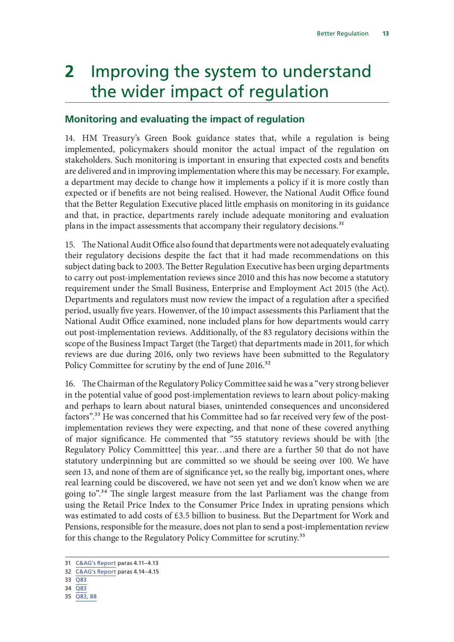# <span id="page-14-0"></span>**2** Improving the system to understand the wider impact of regulation

### **Monitoring and evaluating the impact of regulation**

14. HM Treasury's Green Book guidance states that, while a regulation is being implemented, policymakers should monitor the actual impact of the regulation on stakeholders. Such monitoring is important in ensuring that expected costs and benefits are delivered and in improving implementation where this may be necessary. For example, a department may decide to change how it implements a policy if it is more costly than expected or if benefits are not being realised. However, the National Audit Office found that the Better Regulation Executive placed little emphasis on monitoring in its guidance and that, in practice, departments rarely include adequate monitoring and evaluation plans in the impact assessments that accompany their regulatory decisions.<sup>31</sup>

15. The National Audit Office also found that departments were not adequately evaluating their regulatory decisions despite the fact that it had made recommendations on this subject dating back to 2003. The Better Regulation Executive has been urging departments to carry out post-implementation reviews since 2010 and this has now become a statutory requirement under the Small Business, Enterprise and Employment Act 2015 (the Act). Departments and regulators must now review the impact of a regulation after a specified period, usually five years. Howenver, of the 10 impact assessments this Parliament that the National Audit Office examined, none included plans for how departments would carry out post-implementation reviews. Additionally, of the 83 regulatory decisions within the scope of the Business Impact Target (the Target) that departments made in 2011, for which reviews are due during 2016, only two reviews have been submitted to the Regulatory Policy Committee for scrutiny by the end of June 2016.<sup>32</sup>

16. The Chairman of the Regulatory Policy Committee said he was a "very strong believer in the potential value of good post-implementation reviews to learn about policy-making and perhaps to learn about natural biases, unintended consequences and unconsidered factors".<sup>33</sup> He was concerned that his Committee had so far received very few of the postimplementation reviews they were expecting, and that none of these covered anything of major significance. He commented that "55 statutory reviews should be with [the Regulatory Policy Committtee] this year…and there are a further 50 that do not have statutory underpinning but are committed so we should be seeing over 100. We have seen 13, and none of them are of significance yet, so the really big, important ones, where real learning could be discovered, we have not seen yet and we don't know when we are going to".34 The single largest measure from the last Parliament was the change from using the Retail Price Index to the Consumer Price Index in uprating pensions which was estimated to add costs of £3.5 billion to business. But the Department for Work and Pensions, responsible for the measure, does not plan to send a post-implementation review for this change to the Regulatory Policy Committee for scrutiny.<sup>35</sup>

- 34 [Q83](http://data.parliament.uk/writtenevidence/committeeevidence.svc/evidencedocument/public-accounts-committee/better-regulation/oral/35097.pdf)
- 35 [Q83, 88](http://data.parliament.uk/writtenevidence/committeeevidence.svc/evidencedocument/public-accounts-committee/better-regulation/oral/35097.pdf)

<sup>31</sup> [C&AG's Report](https://www.nao.org.uk/wp-content/uploads/2016/06/The-Business-Impact-Target-cutting-the-cost-of-regulation.pdf) paras 4.11–4.13

<sup>32</sup> [C&AG's Report](https://www.nao.org.uk/wp-content/uploads/2016/06/The-Business-Impact-Target-cutting-the-cost-of-regulation.pdf) paras 4.14–4.15

<sup>33</sup> [Q83](http://data.parliament.uk/writtenevidence/committeeevidence.svc/evidencedocument/public-accounts-committee/better-regulation/oral/35097.pdf)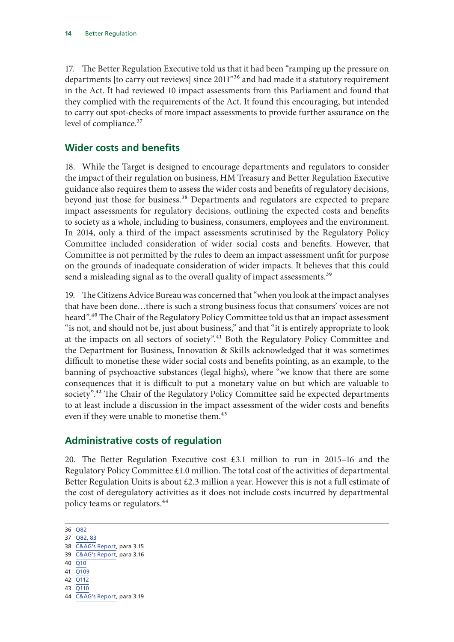<span id="page-15-0"></span>17. The Better Regulation Executive told us that it had been "ramping up the pressure on departments [to carry out reviews] since 2011"36 and had made it a statutory requirement in the Act. It had reviewed 10 impact assessments from this Parliament and found that they complied with the requirements of the Act. It found this encouraging, but intended to carry out spot-checks of more impact assessments to provide further assurance on the level of compliance.<sup>37</sup>

#### **Wider costs and benefits**

18. While the Target is designed to encourage departments and regulators to consider the impact of their regulation on business, HM Treasury and Better Regulation Executive guidance also requires them to assess the wider costs and benefits of regulatory decisions, beyond just those for business.<sup>38</sup> Departments and regulators are expected to prepare impact assessments for regulatory decisions, outlining the expected costs and benefits to society as a whole, including to business, consumers, employees and the environment. In 2014, only a third of the impact assessments scrutinised by the Regulatory Policy Committee included consideration of wider social costs and benefits. However, that Committee is not permitted by the rules to deem an impact assessment unfit for purpose on the grounds of inadequate consideration of wider impacts. It believes that this could send a misleading signal as to the overall quality of impact assessments.<sup>39</sup>

19. The Citizens Advice Bureau was concerned that "when you look at the impact analyses that have been done…there is such a strong business focus that consumers' voices are not heard".<sup>40</sup> The Chair of the Regulatory Policy Committee told us that an impact assessment "is not, and should not be, just about business," and that "it is entirely appropriate to look at the impacts on all sectors of society".<sup>41</sup> Both the Regulatory Policy Committee and the Department for Business, Innovation & Skills acknowledged that it was sometimes difficult to monetise these wider social costs and benefits pointing, as an example, to the banning of psychoactive substances (legal highs), where "we know that there are some consequences that it is difficult to put a monetary value on but which are valuable to society".<sup>42</sup> The Chair of the Regulatory Policy Committee said he expected departments to at least include a discussion in the impact assessment of the wider costs and benefits even if they were unable to monetise them.<sup>43</sup>

### **Administrative costs of regulation**

20. The Better Regulation Executive cost £3.1 million to run in 2015–16 and the Regulatory Policy Committee £1.0 million. The total cost of the activities of departmental Better Regulation Units is about  $\text{\pounds}2.3$  million a year. However this is not a full estimate of the cost of deregulatory activities as it does not include costs incurred by departmental policy teams or regulators.44

- 40 [Q10](http://data.parliament.uk/writtenevidence/committeeevidence.svc/evidencedocument/public-accounts-committee/better-regulation/oral/35097.pdf)
- 41 [Q109](http://data.parliament.uk/writtenevidence/committeeevidence.svc/evidencedocument/public-accounts-committee/better-regulation/oral/35097.pdf)
- 42 [Q112](http://data.parliament.uk/writtenevidence/committeeevidence.svc/evidencedocument/public-accounts-committee/better-regulation/oral/35097.pdf)
- 43 [Q110](http://data.parliament.uk/writtenevidence/committeeevidence.svc/evidencedocument/public-accounts-committee/better-regulation/oral/35097.pdf)

<sup>36</sup> [Q82](http://data.parliament.uk/writtenevidence/committeeevidence.svc/evidencedocument/public-accounts-committee/better-regulation/oral/35097.pdf)

<sup>37</sup> [Q82, 83](http://data.parliament.uk/writtenevidence/committeeevidence.svc/evidencedocument/public-accounts-committee/better-regulation/oral/35097.pdf)

<sup>38</sup> [C&AG's Report](https://www.nao.org.uk/wp-content/uploads/2016/06/The-Business-Impact-Target-cutting-the-cost-of-regulation.pdf), para 3.15

<sup>39</sup> [C&AG's Report](https://www.nao.org.uk/wp-content/uploads/2016/06/The-Business-Impact-Target-cutting-the-cost-of-regulation.pdf), para 3.16

<sup>44</sup> [C&AG's Report](https://www.nao.org.uk/wp-content/uploads/2016/06/The-Business-Impact-Target-cutting-the-cost-of-regulation.pdf), para 3.19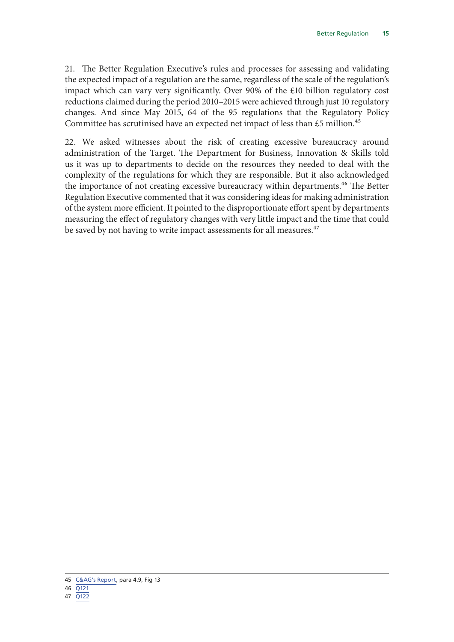21. The Better Regulation Executive's rules and processes for assessing and validating the expected impact of a regulation are the same, regardless of the scale of the regulation's impact which can vary very significantly. Over 90% of the £10 billion regulatory cost reductions claimed during the period 2010–2015 were achieved through just 10 regulatory changes. And since May 2015, 64 of the 95 regulations that the Regulatory Policy Committee has scrutinised have an expected net impact of less than £5 million.<sup>45</sup>

22. We asked witnesses about the risk of creating excessive bureaucracy around administration of the Target. The Department for Business, Innovation & Skills told us it was up to departments to decide on the resources they needed to deal with the complexity of the regulations for which they are responsible. But it also acknowledged the importance of not creating excessive bureaucracy within departments.<sup>46</sup> The Better Regulation Executive commented that it was considering ideas for making administration of the system more efficient. It pointed to the disproportionate effort spent by departments measuring the effect of regulatory changes with very little impact and the time that could be saved by not having to write impact assessments for all measures.<sup>47</sup>

<sup>45</sup> [C&AG's Report](https://www.nao.org.uk/wp-content/uploads/2016/06/The-Business-Impact-Target-cutting-the-cost-of-regulation.pdf), para 4.9, Fig 13

<sup>46</sup> [Q121](http://data.parliament.uk/writtenevidence/committeeevidence.svc/evidencedocument/public-accounts-committee/better-regulation/oral/35097.pdf)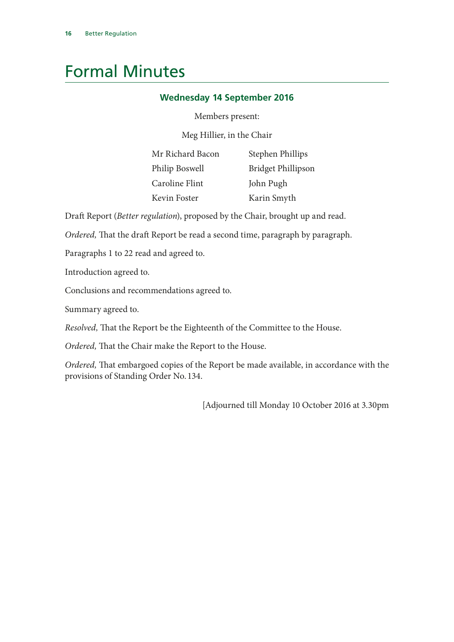# <span id="page-17-0"></span>Formal Minutes

#### **Wednesday 14 September 2016**

#### Members present:

Meg Hillier, in the Chair

| Mr Richard Bacon | Stephen Phillips          |
|------------------|---------------------------|
| Philip Boswell   | <b>Bridget Phillipson</b> |
| Caroline Flint   | John Pugh                 |
| Kevin Foster     | Karin Smyth               |

Draft Report (*Better regulation*), proposed by the Chair, brought up and read.

*Ordered,* That the draft Report be read a second time, paragraph by paragraph.

Paragraphs 1 to 22 read and agreed to.

Introduction agreed to.

Conclusions and recommendations agreed to.

Summary agreed to.

*Resolved,* That the Report be the Eighteenth of the Committee to the House.

*Ordered,* That the Chair make the Report to the House.

*Ordered,* That embargoed copies of the Report be made available, in accordance with the provisions of Standing Order No. 134.

[Adjourned till Monday 10 October 2016 at 3.30pm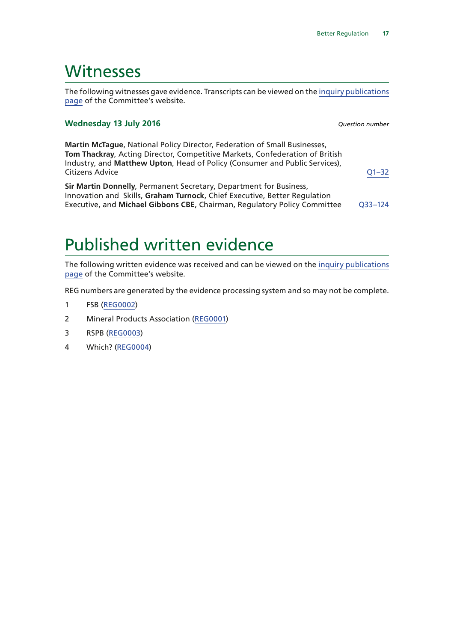### <span id="page-18-0"></span>**Witnesses**

The following witnesses gave evidence. Transcripts can be viewed on the [inquiry publications](https://www.parliament.uk/business/committees/committees-a-z/commons-

select/public-accounts-committee/inquiries/parliament-2015/better-regulation-16-

17/publications/?utm_source=487pdfreport&utm_medium=paraphrase&utm_campaign=pacoralev) [page](https://www.parliament.uk/business/committees/committees-a-z/commons-

select/public-accounts-committee/inquiries/parliament-2015/better-regulation-16-

17/publications/?utm_source=487pdfreport&utm_medium=paraphrase&utm_campaign=pacoralev) of the Committee's website.

#### **Wednesday 13 July 2016** *Question number*

**Martin McTague**, National Policy Director, Federation of Small Businesses, **Tom Thackray**, Acting Director, Competitive Markets, Confederation of British Industry, and **Matthew Upton**, Head of Policy (Consumer and Public Services), Citizens Advice [Q1–32](http://data.parliament.uk/writtenevidence/committeeevidence.svc/evidencedocument/p

ublic-accounts-committee/better-regulation/oral/35097.html?utm_source=487pdfreport&utm_medium=qnumbers&utm_campaign=pacoralev)

**Sir Martin Donnelly**, Permanent Secretary, Department for Business, Innovation and Skills, **Graham Turnock**, Chief Executive, Better Regulation Executive, and **Michael Gibbons CBE**, Chairman, Regulatory Policy Committee [Q33–124](http://data.parliament.uk/writtenevidence/committeeevidence.svc/evidencedocument/p

ublic-accounts-committee/better-regulation/oral/35097.html?utm_source=487pdfreport&utm_medium=qnumbers&utm_campaign=pacoralev)

## Published written evidence

The following written evidence was received and can be viewed on the [inquiry publications](https://www.parliament.uk/business/committees/committees-a-z/commons-

select/public-accounts-committee/inquiries/parliament-2015/better-regulation-16-

17/publications/?utm_source=487pdfreport&utm_medium=paraphrase&utm_campaign=pacoralev) [page](https://www.parliament.uk/business/committees/committees-a-z/commons-

select/public-accounts-committee/inquiries/parliament-2015/better-regulation-16-

17/publications/?utm_source=487pdfreport&utm_medium=paraphrase&utm_campaign=pacoralev) of the Committee's website.

REG numbers are generated by the evidence processing system and so may not be complete.

- 1 FSB ([REG0002](http://data.parliament.uk/WrittenEvidence/CommitteeEvidence.svc/EvidenceDocument/Public%20Accounts/Better%20Regulation/written/34793.html))
- 2 Mineral Products Association [\(REG0001](http://data.parliament.uk/WrittenEvidence/CommitteeEvidence.svc/EvidenceDocument/Public%20Accounts/Better%20Regulation/written/34790.html))
- 3 RSPB ([REG0003](http://data.parliament.uk/WrittenEvidence/CommitteeEvidence.svc/EvidenceDocument/Public%20Accounts/Better%20Regulation/written/35225.html))
- 4 Which? [\(REG0004](http://data.parliament.uk/WrittenEvidence/CommitteeEvidence.svc/EvidenceDocument/Public%20Accounts/Better%20Regulation/written/35226.html))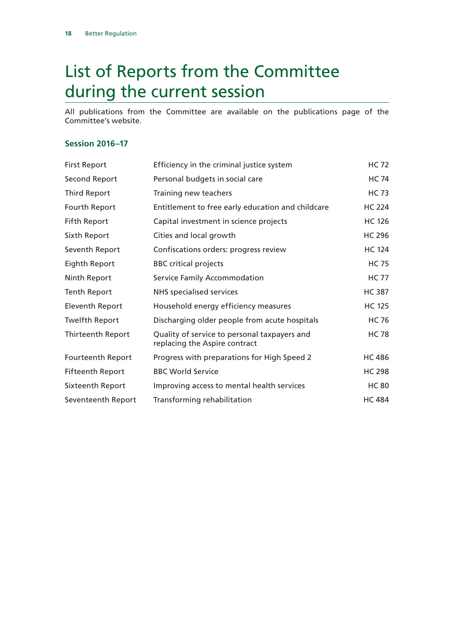# <span id="page-19-0"></span>List of Reports from the Committee during the current session

All publications from the Committee are available on the publications page of the Committee's website.

#### **Session 2016–17**

| <b>First Report</b>     | Efficiency in the criminal justice system                                     | <b>HC 72</b>  |
|-------------------------|-------------------------------------------------------------------------------|---------------|
| Second Report           | Personal budgets in social care                                               | <b>HC 74</b>  |
| <b>Third Report</b>     | Training new teachers                                                         | <b>HC 73</b>  |
| Fourth Report           | Entitlement to free early education and childcare                             | <b>HC 224</b> |
| <b>Fifth Report</b>     | Capital investment in science projects                                        | <b>HC 126</b> |
| Sixth Report            | Cities and local growth                                                       | <b>HC 296</b> |
| Seventh Report          | Confiscations orders: progress review                                         | <b>HC 124</b> |
| Eighth Report           | <b>BBC</b> critical projects                                                  | <b>HC 75</b>  |
| Ninth Report            | Service Family Accommodation                                                  | <b>HC 77</b>  |
| <b>Tenth Report</b>     | <b>NHS</b> specialised services                                               | <b>HC 387</b> |
| Eleventh Report         | Household energy efficiency measures                                          | <b>HC 125</b> |
| <b>Twelfth Report</b>   | Discharging older people from acute hospitals                                 | <b>HC 76</b>  |
| Thirteenth Report       | Quality of service to personal taxpayers and<br>replacing the Aspire contract | <b>HC 78</b>  |
| Fourteenth Report       | Progress with preparations for High Speed 2                                   | <b>HC 486</b> |
| <b>Fifteenth Report</b> | <b>BBC World Service</b>                                                      | <b>HC 298</b> |
| Sixteenth Report        | Improving access to mental health services                                    | <b>HC 80</b>  |
| Seventeenth Report      | Transforming rehabilitation                                                   | <b>HC 484</b> |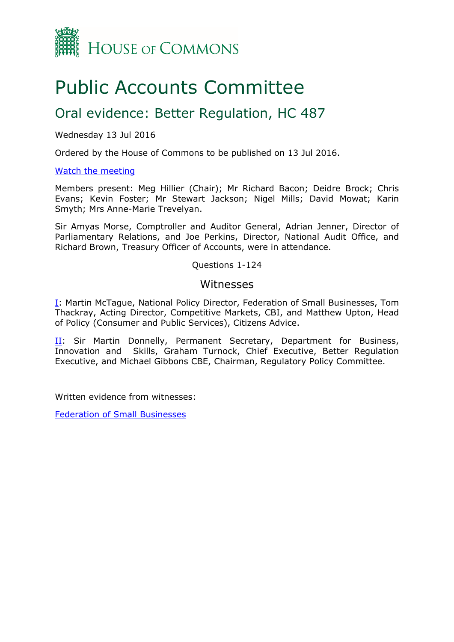

# Public Accounts Committee

### Oral evidence: Better Regulation, HC 487

Wednesday 13 Jul 2016

Ordered by the House of Commons to be published on 13 Jul 2016.

#### [Watch](http://parliamentlive.tv/Event/Index/b49f3ee0-7cb0-462b-962c-e10e8861c3e9) [the](http://parliamentlive.tv/Event/Index/b49f3ee0-7cb0-462b-962c-e10e8861c3e9) [meeting](http://parliamentlive.tv/Event/Index/b49f3ee0-7cb0-462b-962c-e10e8861c3e9)

Members present: Meg Hillier (Chair); Mr Richard Bacon; Deidre Brock; Chris Evans; Kevin Foster; Mr Stewart Jackson; Nigel Mills; David Mowat; Karin Smyth; Mrs Anne-Marie Trevelyan.

Sir Amyas Morse, Comptroller and Auditor General, Adrian Jenner, Director of Parliamentary Relations, and Joe Perkins, Director, National Audit Office, and Richard Brown, Treasury Officer of Accounts, were in attendance.

#### Questions 1-124

#### Witnesses

[I:](#page-21-0) Martin McTague, National Policy Director, Federation of Small Businesses, Tom Thackray, Acting Director, Competitive Markets, CBI, and Matthew Upton, Head of Policy (Consumer and Public Services), Citizens Advice.

II: Sir Martin Donnelly, Permanent Secretary, Department for Business, Innovation and Skills, Graham Turnock, Chief Executive, Better Regulation Executive, and Michael Gibbons CBE, Chairman, Regulatory Policy Committee.

Written evidence from witnesses:

[Federation](http://data.parliament.uk/writtenevidence/committeeevidence.svc/evidencedocument/public-accounts-committee/better-regulation/written/34793.pdf) [of](http://data.parliament.uk/writtenevidence/committeeevidence.svc/evidencedocument/public-accounts-committee/better-regulation/written/34793.pdf) [Small](http://data.parliament.uk/writtenevidence/committeeevidence.svc/evidencedocument/public-accounts-committee/better-regulation/written/34793.pdf) [Businesses](http://data.parliament.uk/writtenevidence/committeeevidence.svc/evidencedocument/public-accounts-committee/better-regulation/written/34793.pdf)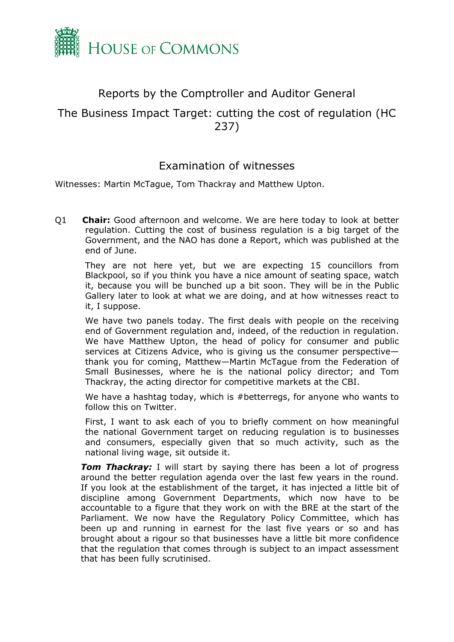

### <span id="page-21-0"></span>Reports by the Comptroller and Auditor General

### The Business Impact Target: cutting the cost of regulation (HC 237)

### Examination of witnesses

Witnesses: Martin McTague, Tom Thackray and Matthew Upton.

Q1 **Chair:** Good afternoon and welcome. We are here today to look at better regulation. Cutting the cost of business regulation is a big target of the Government, and the NAO has done a Report, which was published at the end of June.

They are not here yet, but we are expecting 15 councillors from Blackpool, so if you think you have a nice amount of seating space, watch it, because you will be bunched up a bit soon. They will be in the Public Gallery later to look at what we are doing, and at how witnesses react to it, I suppose.

We have two panels today. The first deals with people on the receiving end of Government regulation and, indeed, of the reduction in regulation. We have Matthew Upton, the head of policy for consumer and public services at Citizens Advice, who is giving us the consumer perspective thank you for coming, Matthew—Martin McTague from the Federation of Small Businesses, where he is the national policy director; and Tom Thackray, the acting director for competitive markets at the CBI.

We have a hashtag today, which is #betterregs, for anyone who wants to follow this on Twitter.

First, I want to ask each of you to briefly comment on how meaningful the national Government target on reducing regulation is to businesses and consumers, especially given that so much activity, such as the national living wage, sit outside it.

*Tom Thackray:* I will start by saying there has been a lot of progress around the better regulation agenda over the last few years in the round. If you look at the establishment of the target, it has injected a little bit of discipline among Government Departments, which now have to be accountable to a figure that they work on with the BRE at the start of the Parliament. We now have the Regulatory Policy Committee, which has been up and running in earnest for the last five years or so and has brought about a rigour so that businesses have a little bit more confidence that the regulation that comes through is subject to an impact assessment that has been fully scrutinised.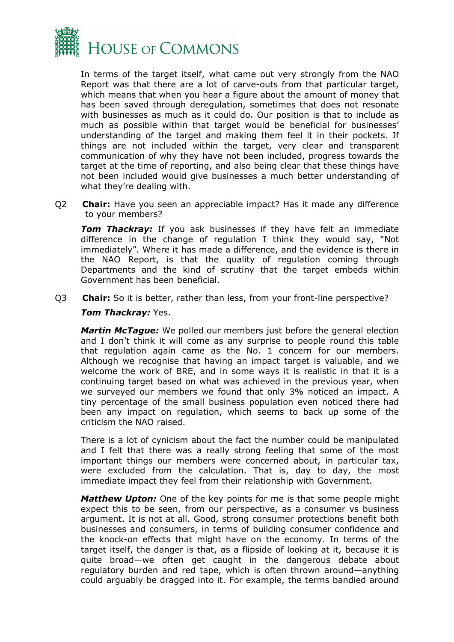

In terms of the target itself, what came out very strongly from the NAO Report was that there are a lot of carve-outs from that particular target, which means that when you hear a figure about the amount of money that has been saved through deregulation, sometimes that does not resonate with businesses as much as it could do. Our position is that to include as much as possible within that target would be beneficial for businesses' understanding of the target and making them feel it in their pockets. If things are not included within the target, very clear and transparent communication of why they have not been included, progress towards the target at the time of reporting, and also being clear that these things have not been included would give businesses a much better understanding of what they're dealing with.

Q2 **Chair:** Have you seen an appreciable impact? Has it made any difference to your members?

**Tom Thackray:** If you ask businesses if they have felt an immediate difference in the change of regulation I think they would say, "Not immediately". Where it has made a difference, and the evidence is there in the NAO Report, is that the quality of regulation coming through Departments and the kind of scrutiny that the target embeds within Government has been beneficial.

Q3 **Chair:** So it is better, rather than less, from your front-line perspective?

#### *Tom Thackray:* Yes.

*Martin McTague:* We polled our members just before the general election and I don't think it will come as any surprise to people round this table that regulation again came as the No. 1 concern for our members. Although we recognise that having an impact target is valuable, and we welcome the work of BRE, and in some ways it is realistic in that it is a continuing target based on what was achieved in the previous year, when we surveyed our members we found that only 3% noticed an impact. A tiny percentage of the small business population even noticed there had been any impact on regulation, which seems to back up some of the criticism the NAO raised.

There is a lot of cynicism about the fact the number could be manipulated and I felt that there was a really strong feeling that some of the most important things our members were concerned about, in particular tax, were excluded from the calculation. That is, day to day, the most immediate impact they feel from their relationship with Government.

*Matthew Upton:* One of the key points for me is that some people might expect this to be seen, from our perspective, as a consumer vs business argument. It is not at all. Good, strong consumer protections benefit both businesses and consumers, in terms of building consumer confidence and the knock-on effects that might have on the economy. In terms of the target itself, the danger is that, as a flipside of looking at it, because it is quite broad—we often get caught in the dangerous debate about regulatory burden and red tape, which is often thrown around—anything could arguably be dragged into it. For example, the terms bandied around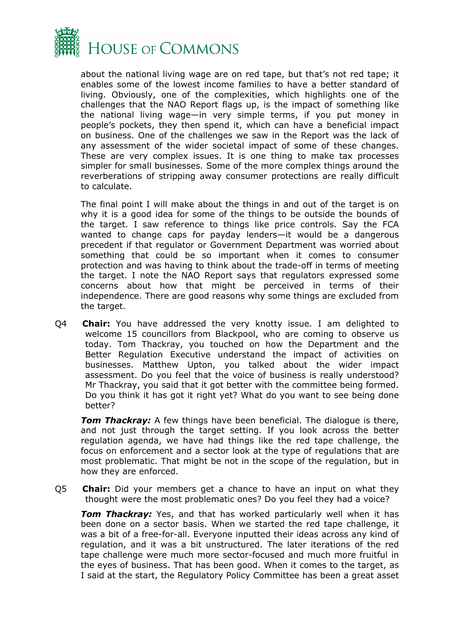

about the national living wage are on red tape, but that's not red tape; it enables some of the lowest income families to have a better standard of living. Obviously, one of the complexities, which highlights one of the challenges that the NAO Report flags up, is the impact of something like the national living wage—in very simple terms, if you put money in people's pockets, they then spend it, which can have a beneficial impact on business. One of the challenges we saw in the Report was the lack of any assessment of the wider societal impact of some of these changes. These are very complex issues. It is one thing to make tax processes simpler for small businesses. Some of the more complex things around the reverberations of stripping away consumer protections are really difficult to calculate.

The final point I will make about the things in and out of the target is on why it is a good idea for some of the things to be outside the bounds of the target. I saw reference to things like price controls. Say the FCA wanted to change caps for payday lenders—it would be a dangerous precedent if that regulator or Government Department was worried about something that could be so important when it comes to consumer protection and was having to think about the trade-off in terms of meeting the target. I note the NAO Report says that regulators expressed some concerns about how that might be perceived in terms of their independence. There are good reasons why some things are excluded from the target.

Q4 **Chair:** You have addressed the very knotty issue. I am delighted to welcome 15 councillors from Blackpool, who are coming to observe us today. Tom Thackray, you touched on how the Department and the Better Regulation Executive understand the impact of activities on businesses. Matthew Upton, you talked about the wider impact assessment. Do you feel that the voice of business is really understood? Mr Thackray, you said that it got better with the committee being formed. Do you think it has got it right yet? What do you want to see being done better?

*Tom Thackray:* A few things have been beneficial. The dialogue is there, and not just through the target setting. If you look across the better regulation agenda, we have had things like the red tape challenge, the focus on enforcement and a sector look at the type of regulations that are most problematic. That might be not in the scope of the regulation, but in how they are enforced.

Q5 **Chair:** Did your members get a chance to have an input on what they thought were the most problematic ones? Do you feel they had a voice?

*Tom Thackray:* Yes, and that has worked particularly well when it has been done on a sector basis. When we started the red tape challenge, it was a bit of a free-for-all. Everyone inputted their ideas across any kind of regulation, and it was a bit unstructured. The later iterations of the red tape challenge were much more sector-focused and much more fruitful in the eyes of business. That has been good. When it comes to the target, as I said at the start, the Regulatory Policy Committee has been a great asset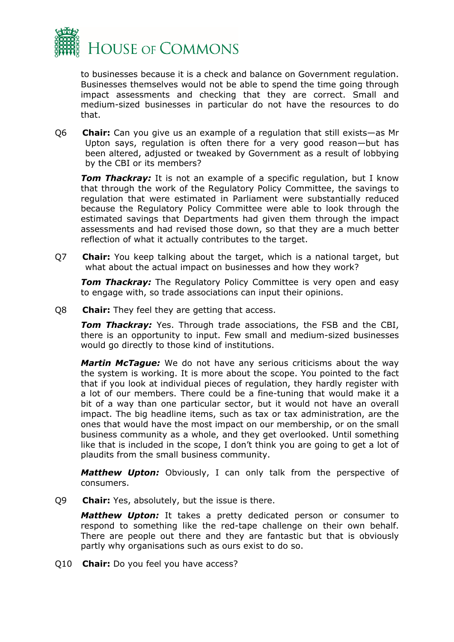

to businesses because it is a check and balance on Government regulation. Businesses themselves would not be able to spend the time going through impact assessments and checking that they are correct. Small and medium-sized businesses in particular do not have the resources to do that.

Q6 **Chair:** Can you give us an example of a regulation that still exists—as Mr Upton says, regulation is often there for a very good reason—but has been altered, adjusted or tweaked by Government as a result of lobbying by the CBI or its members?

**Tom Thackray:** It is not an example of a specific regulation, but I know that through the work of the Regulatory Policy Committee, the savings to regulation that were estimated in Parliament were substantially reduced because the Regulatory Policy Committee were able to look through the estimated savings that Departments had given them through the impact assessments and had revised those down, so that they are a much better reflection of what it actually contributes to the target.

Q7 **Chair:** You keep talking about the target, which is a national target, but what about the actual impact on businesses and how they work?

*Tom Thackray:* The Regulatory Policy Committee is very open and easy to engage with, so trade associations can input their opinions.

Q8 **Chair:** They feel they are getting that access.

*Tom Thackray:* Yes. Through trade associations, the FSB and the CBI, there is an opportunity to input. Few small and medium-sized businesses would go directly to those kind of institutions.

*Martin McTague:* We do not have any serious criticisms about the way the system is working. It is more about the scope. You pointed to the fact that if you look at individual pieces of regulation, they hardly register with a lot of our members. There could be a fine-tuning that would make it a bit of a way than one particular sector, but it would not have an overall impact. The big headline items, such as tax or tax administration, are the ones that would have the most impact on our membership, or on the small business community as a whole, and they get overlooked. Until something like that is included in the scope, I don't think you are going to get a lot of plaudits from the small business community.

*Matthew Upton:* Obviously, I can only talk from the perspective of consumers.

Q9 **Chair:** Yes, absolutely, but the issue is there.

*Matthew Upton:* It takes a pretty dedicated person or consumer to respond to something like the red-tape challenge on their own behalf. There are people out there and they are fantastic but that is obviously partly why organisations such as ours exist to do so.

Q10 **Chair:** Do you feel you have access?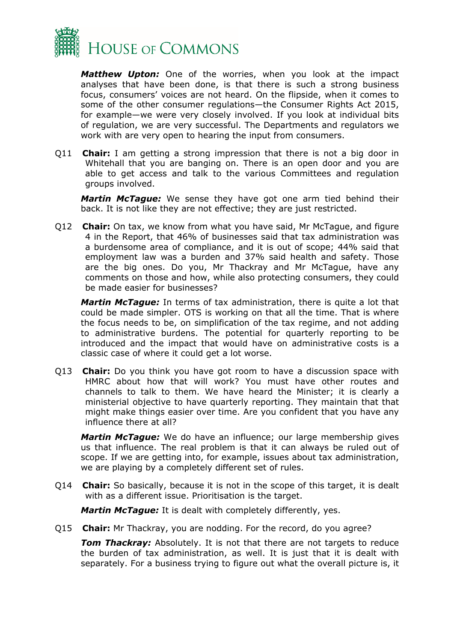

*Matthew Upton:* One of the worries, when you look at the impact analyses that have been done, is that there is such a strong business focus, consumers' voices are not heard. On the flipside, when it comes to some of the other consumer regulations—the Consumer Rights Act 2015, for example—we were very closely involved. If you look at individual bits of regulation, we are very successful. The Departments and regulators we work with are very open to hearing the input from consumers.

Q11 **Chair:** I am getting a strong impression that there is not a big door in Whitehall that you are banging on. There is an open door and you are able to get access and talk to the various Committees and regulation groups involved.

*Martin McTague:* We sense they have got one arm tied behind their back. It is not like they are not effective; they are just restricted.

Q12 **Chair:** On tax, we know from what you have said, Mr McTague, and figure 4 in the Report, that 46% of businesses said that tax administration was a burdensome area of compliance, and it is out of scope; 44% said that employment law was a burden and 37% said health and safety. Those are the big ones. Do you, Mr Thackray and Mr McTague, have any comments on those and how, while also protecting consumers, they could be made easier for businesses?

*Martin McTague:* In terms of tax administration, there is quite a lot that could be made simpler. OTS is working on that all the time. That is where the focus needs to be, on simplification of the tax regime, and not adding to administrative burdens. The potential for quarterly reporting to be introduced and the impact that would have on administrative costs is a classic case of where it could get a lot worse.

Q13 **Chair:** Do you think you have got room to have a discussion space with HMRC about how that will work? You must have other routes and channels to talk to them. We have heard the Minister; it is clearly a ministerial objective to have quarterly reporting. They maintain that that might make things easier over time. Are you confident that you have any influence there at all?

*Martin McTague:* We do have an influence; our large membership gives us that influence. The real problem is that it can always be ruled out of scope. If we are getting into, for example, issues about tax administration, we are playing by a completely different set of rules.

Q14 **Chair:** So basically, because it is not in the scope of this target, it is dealt with as a different issue. Prioritisation is the target.

*Martin McTague:* It is dealt with completely differently, yes.

Q15 **Chair:** Mr Thackray, you are nodding. For the record, do you agree?

*Tom Thackray:* Absolutely. It is not that there are not targets to reduce the burden of tax administration, as well. It is just that it is dealt with separately. For a business trying to figure out what the overall picture is, it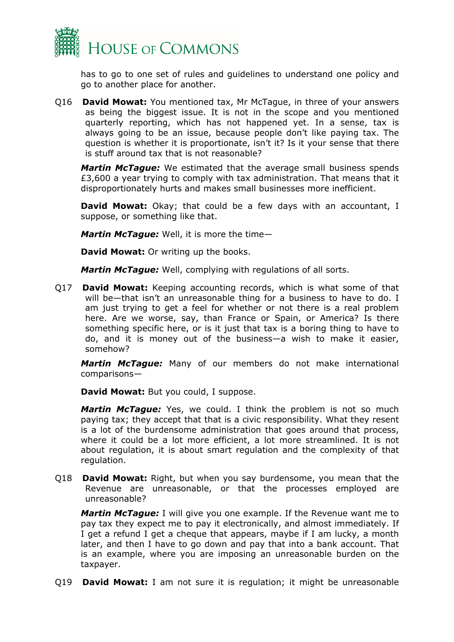

has to go to one set of rules and guidelines to understand one policy and go to another place for another.

Q16 **David Mowat:** You mentioned tax, Mr McTague, in three of your answers as being the biggest issue. It is not in the scope and you mentioned quarterly reporting, which has not happened yet. In a sense, tax is always going to be an issue, because people don't like paying tax. The question is whether it is proportionate, isn't it? Is it your sense that there is stuff around tax that is not reasonable?

*Martin McTague:* We estimated that the average small business spends £3,600 a year trying to comply with tax administration. That means that it disproportionately hurts and makes small businesses more inefficient.

**David Mowat:** Okay; that could be a few days with an accountant, I suppose, or something like that.

*Martin McTague:* Well, it is more the time—

**David Mowat:** Or writing up the books.

*Martin McTague:* Well, complying with regulations of all sorts.

Q17 **David Mowat:** Keeping accounting records, which is what some of that will be—that isn't an unreasonable thing for a business to have to do. I am just trying to get a feel for whether or not there is a real problem here. Are we worse, say, than France or Spain, or America? Is there something specific here, or is it just that tax is a boring thing to have to do, and it is money out of the business—a wish to make it easier, somehow?

*Martin McTague:* Many of our members do not make international comparisons—

**David Mowat:** But you could, I suppose.

*Martin McTague:* Yes, we could. I think the problem is not so much paying tax; they accept that that is a civic responsibility. What they resent is a lot of the burdensome administration that goes around that process, where it could be a lot more efficient, a lot more streamlined. It is not about regulation, it is about smart regulation and the complexity of that regulation.

Q18 **David Mowat:** Right, but when you say burdensome, you mean that the Revenue are unreasonable, or that the processes employed are unreasonable?

*Martin McTague:* I will give you one example. If the Revenue want me to pay tax they expect me to pay it electronically, and almost immediately. If I get a refund I get a cheque that appears, maybe if I am lucky, a month later, and then I have to go down and pay that into a bank account. That is an example, where you are imposing an unreasonable burden on the taxpayer.

Q19 **David Mowat:** I am not sure it is regulation; it might be unreasonable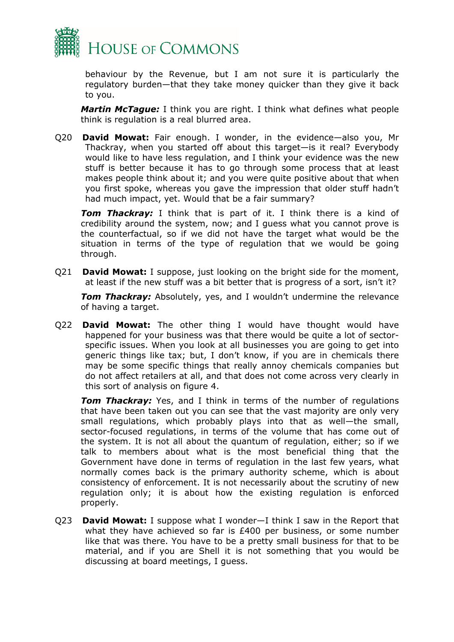

behaviour by the Revenue, but I am not sure it is particularly the regulatory burden—that they take money quicker than they give it back to you.

*Martin McTague:* I think you are right. I think what defines what people think is regulation is a real blurred area.

Q20 **David Mowat:** Fair enough. I wonder, in the evidence—also you, Mr Thackray, when you started off about this target—is it real? Everybody would like to have less regulation, and I think your evidence was the new stuff is better because it has to go through some process that at least makes people think about it; and you were quite positive about that when you first spoke, whereas you gave the impression that older stuff hadn't had much impact, yet. Would that be a fair summary?

*Tom Thackray:* I think that is part of it. I think there is a kind of credibility around the system, now; and I guess what you cannot prove is the counterfactual, so if we did not have the target what would be the situation in terms of the type of regulation that we would be going through.

Q21 **David Mowat:** I suppose, just looking on the bright side for the moment, at least if the new stuff was a bit better that is progress of a sort, isn't it?

*Tom Thackray:* Absolutely, yes, and I wouldn't undermine the relevance of having a target.

Q22 **David Mowat:** The other thing I would have thought would have happened for your business was that there would be quite a lot of sectorspecific issues. When you look at all businesses you are going to get into generic things like tax; but, I don't know, if you are in chemicals there may be some specific things that really annoy chemicals companies but do not affect retailers at all, and that does not come across very clearly in this sort of analysis on figure 4.

*Tom Thackray:* Yes, and I think in terms of the number of regulations that have been taken out you can see that the vast majority are only very small regulations, which probably plays into that as well—the small, sector-focused regulations, in terms of the volume that has come out of the system. It is not all about the quantum of regulation, either; so if we talk to members about what is the most beneficial thing that the Government have done in terms of regulation in the last few years, what normally comes back is the primary authority scheme, which is about consistency of enforcement. It is not necessarily about the scrutiny of new regulation only; it is about how the existing regulation is enforced properly.

Q23 **David Mowat:** I suppose what I wonder—I think I saw in the Report that what they have achieved so far is £400 per business, or some number like that was there. You have to be a pretty small business for that to be material, and if you are Shell it is not something that you would be discussing at board meetings, I guess.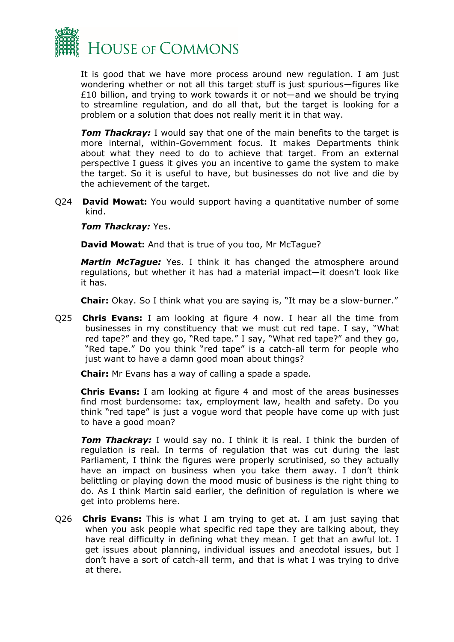

It is good that we have more process around new regulation. I am just wondering whether or not all this target stuff is just spurious—figures like £10 billion, and trying to work towards it or not—and we should be trying to streamline regulation, and do all that, but the target is looking for a problem or a solution that does not really merit it in that way.

**Tom Thackray:** I would say that one of the main benefits to the target is more internal, within-Government focus. It makes Departments think about what they need to do to achieve that target. From an external perspective I guess it gives you an incentive to game the system to make the target. So it is useful to have, but businesses do not live and die by the achievement of the target.

Q24 **David Mowat:** You would support having a quantitative number of some kind.

#### *Tom Thackray:* Yes.

**David Mowat:** And that is true of you too, Mr McTague?

*Martin McTague:* Yes. I think it has changed the atmosphere around regulations, but whether it has had a material impact—it doesn't look like it has.

**Chair:** Okay. So I think what you are saying is, "It may be a slow-burner."

Q25 **Chris Evans:** I am looking at figure 4 now. I hear all the time from businesses in my constituency that we must cut red tape. I say, "What red tape?" and they go, "Red tape." I say, "What red tape?" and they go, "Red tape." Do you think "red tape" is a catch-all term for people who just want to have a damn good moan about things?

**Chair:** Mr Evans has a way of calling a spade a spade.

**Chris Evans:** I am looking at figure 4 and most of the areas businesses find most burdensome: tax, employment law, health and safety. Do you think "red tape" is just a vogue word that people have come up with just to have a good moan?

*Tom Thackray:* I would say no. I think it is real. I think the burden of regulation is real. In terms of regulation that was cut during the last Parliament, I think the figures were properly scrutinised, so they actually have an impact on business when you take them away. I don't think belittling or playing down the mood music of business is the right thing to do. As I think Martin said earlier, the definition of regulation is where we get into problems here.

Q26 **Chris Evans:** This is what I am trying to get at. I am just saying that when you ask people what specific red tape they are talking about, they have real difficulty in defining what they mean. I get that an awful lot. I get issues about planning, individual issues and anecdotal issues, but I don't have a sort of catch-all term, and that is what I was trying to drive at there.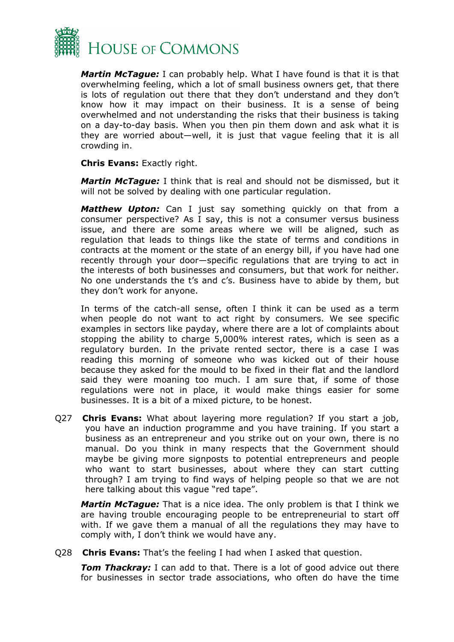

*Martin McTague:* I can probably help. What I have found is that it is that overwhelming feeling, which a lot of small business owners get, that there is lots of regulation out there that they don't understand and they don't know how it may impact on their business. It is a sense of being overwhelmed and not understanding the risks that their business is taking on a day-to-day basis. When you then pin them down and ask what it is they are worried about—well, it is just that vague feeling that it is all crowding in.

**Chris Evans:** Exactly right.

*Martin McTague:* I think that is real and should not be dismissed, but it will not be solved by dealing with one particular regulation.

*Matthew Upton:* Can I just say something quickly on that from a consumer perspective? As I say, this is not a consumer versus business issue, and there are some areas where we will be aligned, such as regulation that leads to things like the state of terms and conditions in contracts at the moment or the state of an energy bill, if you have had one recently through your door—specific regulations that are trying to act in the interests of both businesses and consumers, but that work for neither. No one understands the t's and c's. Business have to abide by them, but they don't work for anyone.

In terms of the catch-all sense, often I think it can be used as a term when people do not want to act right by consumers. We see specific examples in sectors like payday, where there are a lot of complaints about stopping the ability to charge 5,000% interest rates, which is seen as a regulatory burden. In the private rented sector, there is a case I was reading this morning of someone who was kicked out of their house because they asked for the mould to be fixed in their flat and the landlord said they were moaning too much. I am sure that, if some of those regulations were not in place, it would make things easier for some businesses. It is a bit of a mixed picture, to be honest.

Q27 **Chris Evans:** What about layering more regulation? If you start a job, you have an induction programme and you have training. If you start a business as an entrepreneur and you strike out on your own, there is no manual. Do you think in many respects that the Government should maybe be giving more signposts to potential entrepreneurs and people who want to start businesses, about where they can start cutting through? I am trying to find ways of helping people so that we are not here talking about this vague "red tape".

*Martin McTague:* That is a nice idea. The only problem is that I think we are having trouble encouraging people to be entrepreneurial to start off with. If we gave them a manual of all the regulations they may have to comply with, I don't think we would have any.

Q28 **Chris Evans:** That's the feeling I had when I asked that question.

**Tom Thackray:** I can add to that. There is a lot of good advice out there for businesses in sector trade associations, who often do have the time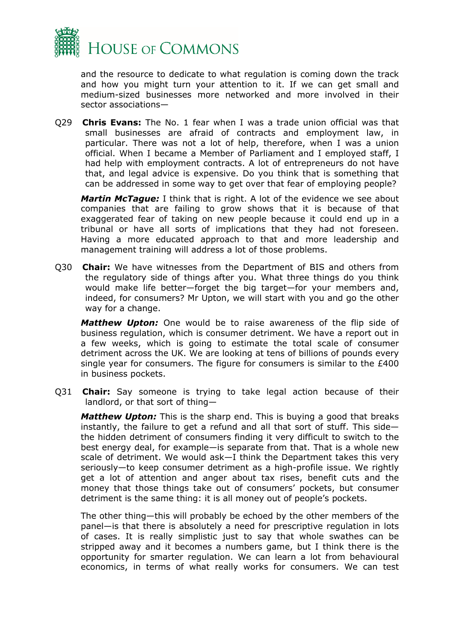

and the resource to dedicate to what regulation is coming down the track and how you might turn your attention to it. If we can get small and medium-sized businesses more networked and more involved in their sector associations—

Q29 **Chris Evans:** The No. 1 fear when I was a trade union official was that small businesses are afraid of contracts and employment law, in particular. There was not a lot of help, therefore, when I was a union official. When I became a Member of Parliament and I employed staff, I had help with employment contracts. A lot of entrepreneurs do not have that, and legal advice is expensive. Do you think that is something that can be addressed in some way to get over that fear of employing people?

*Martin McTague:* I think that is right. A lot of the evidence we see about companies that are failing to grow shows that it is because of that exaggerated fear of taking on new people because it could end up in a tribunal or have all sorts of implications that they had not foreseen. Having a more educated approach to that and more leadership and management training will address a lot of those problems.

Q30 **Chair:** We have witnesses from the Department of BIS and others from the regulatory side of things after you. What three things do you think would make life better—forget the big target—for your members and, indeed, for consumers? Mr Upton, we will start with you and go the other way for a change.

*Matthew Upton:* One would be to raise awareness of the flip side of business regulation, which is consumer detriment. We have a report out in a few weeks, which is going to estimate the total scale of consumer detriment across the UK. We are looking at tens of billions of pounds every single year for consumers. The figure for consumers is similar to the £400 in business pockets.

Q31 **Chair:** Say someone is trying to take legal action because of their landlord, or that sort of thing—

*Matthew Upton:* This is the sharp end. This is buying a good that breaks instantly, the failure to get a refund and all that sort of stuff. This side the hidden detriment of consumers finding it very difficult to switch to the best energy deal, for example—is separate from that. That is a whole new scale of detriment. We would ask—I think the Department takes this very seriously—to keep consumer detriment as a high-profile issue. We rightly get a lot of attention and anger about tax rises, benefit cuts and the money that those things take out of consumers' pockets, but consumer detriment is the same thing: it is all money out of people's pockets.

The other thing—this will probably be echoed by the other members of the panel—is that there is absolutely a need for prescriptive regulation in lots of cases. It is really simplistic just to say that whole swathes can be stripped away and it becomes a numbers game, but I think there is the opportunity for smarter regulation. We can learn a lot from behavioural economics, in terms of what really works for consumers. We can test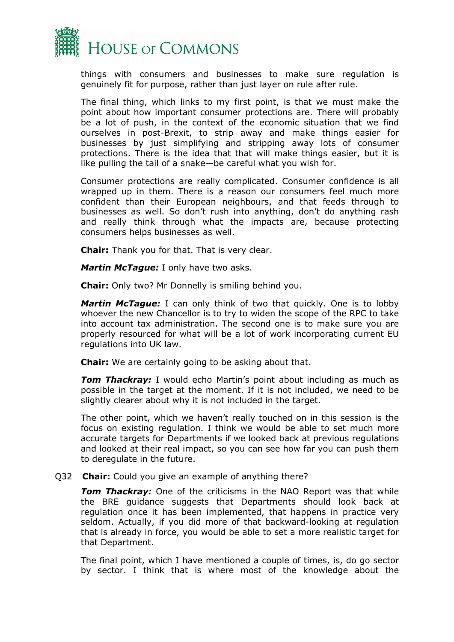

things with consumers and businesses to make sure regulation is genuinely fit for purpose, rather than just layer on rule after rule.

The final thing, which links to my first point, is that we must make the point about how important consumer protections are. There will probably be a lot of push, in the context of the economic situation that we find ourselves in post-Brexit, to strip away and make things easier for businesses by just simplifying and stripping away lots of consumer protections. There is the idea that that will make things easier, but it is like pulling the tail of a snake—be careful what you wish for.

Consumer protections are really complicated. Consumer confidence is all wrapped up in them. There is a reason our consumers feel much more confident than their European neighbours, and that feeds through to businesses as well. So don't rush into anything, don't do anything rash and really think through what the impacts are, because protecting consumers helps businesses as well.

**Chair:** Thank you for that. That is very clear.

*Martin McTague:* I only have two asks.

**Chair:** Only two? Mr Donnelly is smiling behind you.

*Martin McTague:* I can only think of two that quickly. One is to lobby whoever the new Chancellor is to try to widen the scope of the RPC to take into account tax administration. The second one is to make sure you are properly resourced for what will be a lot of work incorporating current EU regulations into UK law.

**Chair:** We are certainly going to be asking about that.

*Tom Thackray:* I would echo Martin's point about including as much as possible in the target at the moment. If it is not included, we need to be slightly clearer about why it is not included in the target.

The other point, which we haven't really touched on in this session is the focus on existing regulation. I think we would be able to set much more accurate targets for Departments if we looked back at previous regulations and looked at their real impact, so you can see how far you can push them to deregulate in the future.

#### Q32 **Chair:** Could you give an example of anything there?

*Tom Thackray:* One of the criticisms in the NAO Report was that while the BRE guidance suggests that Departments should look back at regulation once it has been implemented, that happens in practice very seldom. Actually, if you did more of that backward-looking at regulation that is already in force, you would be able to set a more realistic target for that Department.

The final point, which I have mentioned a couple of times, is, do go sector by sector. I think that is where most of the knowledge about the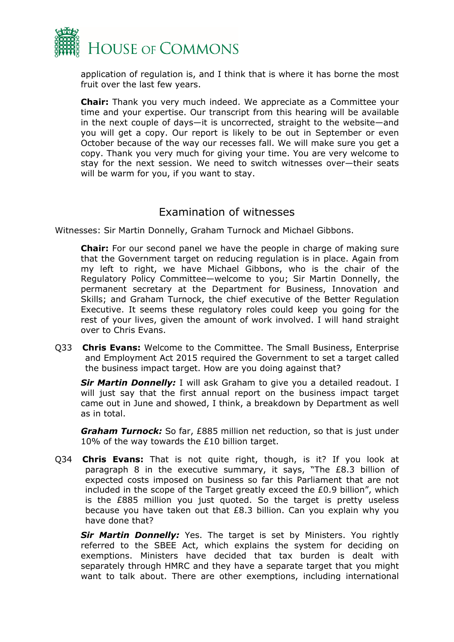

application of regulation is, and I think that is where it has borne the most fruit over the last few years.

**Chair:** Thank you very much indeed. We appreciate as a Committee your time and your expertise. Our transcript from this hearing will be available in the next couple of days—it is uncorrected, straight to the website—and you will get a copy. Our report is likely to be out in September or even October because of the way our recesses fall. We will make sure you get a copy. Thank you very much for giving your time. You are very welcome to stay for the next session. We need to switch witnesses over—their seats will be warm for you, if you want to stay.

### Examination of witnesses

Witnesses: Sir Martin Donnelly, Graham Turnock and Michael Gibbons.

**Chair:** For our second panel we have the people in charge of making sure that the Government target on reducing regulation is in place. Again from my left to right, we have Michael Gibbons, who is the chair of the Regulatory Policy Committee—welcome to you; Sir Martin Donnelly, the permanent secretary at the Department for Business, Innovation and Skills; and Graham Turnock, the chief executive of the Better Regulation Executive. It seems these regulatory roles could keep you going for the rest of your lives, given the amount of work involved. I will hand straight over to Chris Evans.

Q33 **Chris Evans:** Welcome to the Committee. The Small Business, Enterprise and Employment Act 2015 required the Government to set a target called the business impact target. How are you doing against that?

*Sir Martin Donnelly:* I will ask Graham to give you a detailed readout. I will just say that the first annual report on the business impact target came out in June and showed, I think, a breakdown by Department as well as in total.

*Graham Turnock:* So far, £885 million net reduction, so that is just under 10% of the way towards the £10 billion target.

Q34 **Chris Evans:** That is not quite right, though, is it? If you look at paragraph 8 in the executive summary, it says, "The £8.3 billion of expected costs imposed on business so far this Parliament that are not included in the scope of the Target greatly exceed the £0.9 billion", which is the £885 million you just quoted. So the target is pretty useless because you have taken out that £8.3 billion. Can you explain why you have done that?

**Sir Martin Donnelly:** Yes. The target is set by Ministers. You rightly referred to the SBEE Act, which explains the system for deciding on exemptions. Ministers have decided that tax burden is dealt with separately through HMRC and they have a separate target that you might want to talk about. There are other exemptions, including international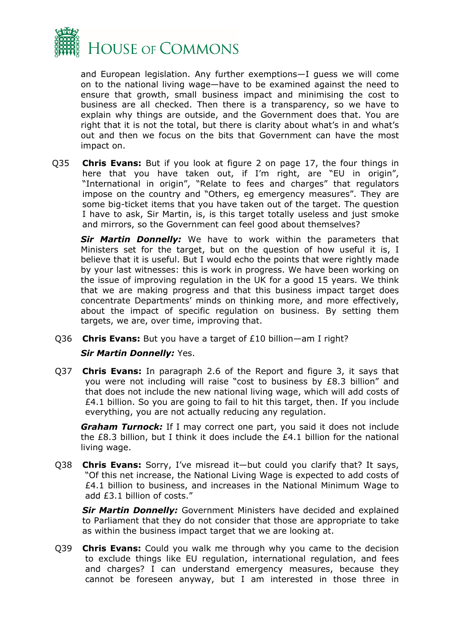

and European legislation. Any further exemptions—I guess we will come on to the national living wage—have to be examined against the need to ensure that growth, small business impact and minimising the cost to business are all checked. Then there is a transparency, so we have to explain why things are outside, and the Government does that. You are right that it is not the total, but there is clarity about what's in and what's out and then we focus on the bits that Government can have the most impact on.

Q35 **Chris Evans:** But if you look at figure 2 on page 17, the four things in here that you have taken out, if I'm right, are "EU in origin", "International in origin", "Relate to fees and charges" that regulators impose on the country and "Others, eg emergency measures". They are some big-ticket items that you have taken out of the target. The question I have to ask, Sir Martin, is, is this target totally useless and just smoke and mirrors, so the Government can feel good about themselves?

*Sir Martin Donnelly:* We have to work within the parameters that Ministers set for the target, but on the question of how useful it is, I believe that it is useful. But I would echo the points that were rightly made by your last witnesses: this is work in progress. We have been working on the issue of improving regulation in the UK for a good 15 years. We think that we are making progress and that this business impact target does concentrate Departments' minds on thinking more, and more effectively, about the impact of specific regulation on business. By setting them targets, we are, over time, improving that.

Q36 **Chris Evans:** But you have a target of £10 billion—am I right?

#### *Sir Martin Donnelly:* Yes.

Q37 **Chris Evans:** In paragraph 2.6 of the Report and figure 3, it says that you were not including will raise "cost to business by £8.3 billion" and that does not include the new national living wage, which will add costs of £4.1 billion. So you are going to fail to hit this target, then. If you include everything, you are not actually reducing any regulation.

*Graham Turnock:* If I may correct one part, you said it does not include the £8.3 billion, but I think it does include the £4.1 billion for the national living wage.

Q38 **Chris Evans:** Sorry, I've misread it—but could you clarify that? It says, "Of this net increase, the National Living Wage is expected to add costs of  $£4.1$  billion to business, and increases in the National Minimum Wage to add £3.1 billion of costs."

*Sir Martin Donnelly:* Government Ministers have decided and explained to Parliament that they do not consider that those are appropriate to take as within the business impact target that we are looking at.

Q39 **Chris Evans:** Could you walk me through why you came to the decision to exclude things like EU regulation, international regulation, and fees and charges? I can understand emergency measures, because they cannot be foreseen anyway, but I am interested in those three in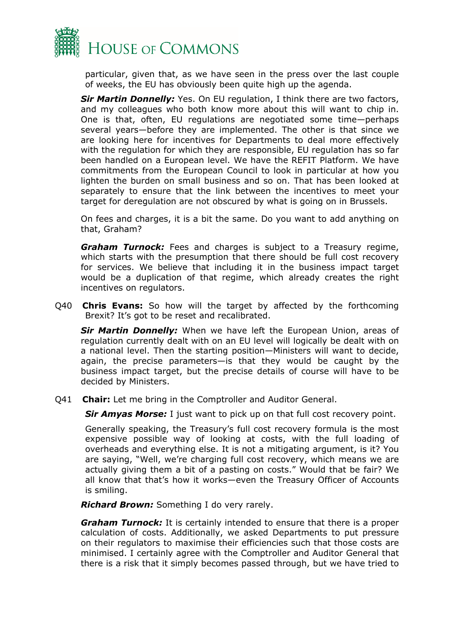

particular, given that, as we have seen in the press over the last couple of weeks, the EU has obviously been quite high up the agenda.

*Sir Martin Donnelly:* Yes. On EU regulation, I think there are two factors, and my colleagues who both know more about this will want to chip in. One is that, often, EU regulations are negotiated some time—perhaps several years—before they are implemented. The other is that since we are looking here for incentives for Departments to deal more effectively with the regulation for which they are responsible, EU regulation has so far been handled on a European level. We have the REFIT Platform. We have commitments from the European Council to look in particular at how you lighten the burden on small business and so on. That has been looked at separately to ensure that the link between the incentives to meet your target for deregulation are not obscured by what is going on in Brussels.

On fees and charges, it is a bit the same. Do you want to add anything on that, Graham?

*Graham Turnock:* Fees and charges is subject to a Treasury regime, which starts with the presumption that there should be full cost recovery for services. We believe that including it in the business impact target would be a duplication of that regime, which already creates the right incentives on regulators.

Q40 **Chris Evans:** So how will the target by affected by the forthcoming Brexit? It's got to be reset and recalibrated.

*Sir Martin Donnelly:* When we have left the European Union, areas of regulation currently dealt with on an EU level will logically be dealt with on a national level. Then the starting position—Ministers will want to decide, again, the precise parameters—is that they would be caught by the business impact target, but the precise details of course will have to be decided by Ministers.

Q41 **Chair:** Let me bring in the Comptroller and Auditor General.

*Sir Amyas Morse:* I just want to pick up on that full cost recovery point.

Generally speaking, the Treasury's full cost recovery formula is the most expensive possible way of looking at costs, with the full loading of overheads and everything else. It is not a mitigating argument, is it? You are saying, "Well, we're charging full cost recovery, which means we are actually giving them a bit of a pasting on costs." Would that be fair? We all know that that's how it works—even the Treasury Officer of Accounts is smiling.

*Richard Brown:* Something I do very rarely.

*Graham Turnock:* It is certainly intended to ensure that there is a proper calculation of costs. Additionally, we asked Departments to put pressure on their regulators to maximise their efficiencies such that those costs are minimised. I certainly agree with the Comptroller and Auditor General that there is a risk that it simply becomes passed through, but we have tried to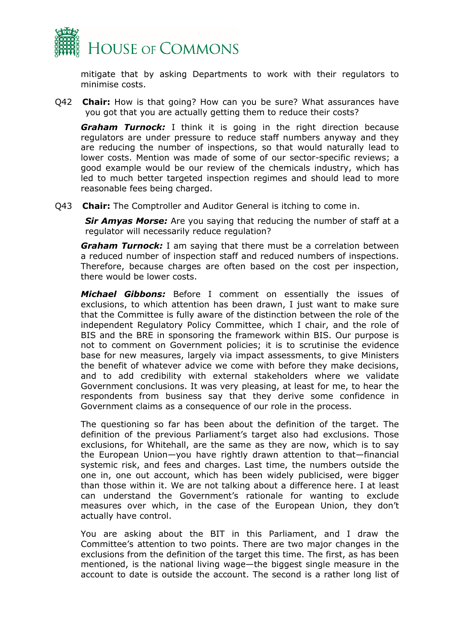

mitigate that by asking Departments to work with their regulators to minimise costs.

Q42 **Chair:** How is that going? How can you be sure? What assurances have you got that you are actually getting them to reduce their costs?

*Graham Turnock:* I think it is going in the right direction because regulators are under pressure to reduce staff numbers anyway and they are reducing the number of inspections, so that would naturally lead to lower costs. Mention was made of some of our sector-specific reviews; a good example would be our review of the chemicals industry, which has led to much better targeted inspection regimes and should lead to more reasonable fees being charged.

Q43 **Chair:** The Comptroller and Auditor General is itching to come in.

*Sir Amyas Morse:* Are you saying that reducing the number of staff at a regulator will necessarily reduce regulation?

*Graham Turnock:* I am saying that there must be a correlation between a reduced number of inspection staff and reduced numbers of inspections. Therefore, because charges are often based on the cost per inspection, there would be lower costs.

*Michael Gibbons:* Before I comment on essentially the issues of exclusions, to which attention has been drawn, I just want to make sure that the Committee is fully aware of the distinction between the role of the independent Regulatory Policy Committee, which I chair, and the role of BIS and the BRE in sponsoring the framework within BIS. Our purpose is not to comment on Government policies; it is to scrutinise the evidence base for new measures, largely via impact assessments, to give Ministers the benefit of whatever advice we come with before they make decisions, and to add credibility with external stakeholders where we validate Government conclusions. It was very pleasing, at least for me, to hear the respondents from business say that they derive some confidence in Government claims as a consequence of our role in the process.

The questioning so far has been about the definition of the target. The definition of the previous Parliament's target also had exclusions. Those exclusions, for Whitehall, are the same as they are now, which is to say the European Union—you have rightly drawn attention to that—financial systemic risk, and fees and charges. Last time, the numbers outside the one in, one out account, which has been widely publicised, were bigger than those within it. We are not talking about a difference here. I at least can understand the Government's rationale for wanting to exclude measures over which, in the case of the European Union, they don't actually have control.

You are asking about the BIT in this Parliament, and I draw the Committee's attention to two points. There are two major changes in the exclusions from the definition of the target this time. The first, as has been mentioned, is the national living wage—the biggest single measure in the account to date is outside the account. The second is a rather long list of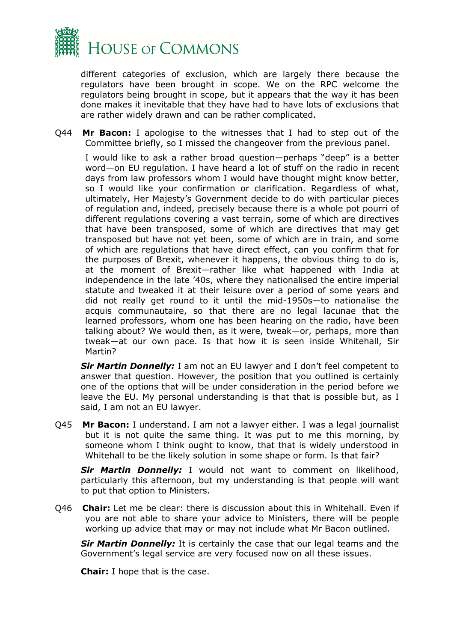

different categories of exclusion, which are largely there because the regulators have been brought in scope. We on the RPC welcome the regulators being brought in scope, but it appears that the way it has been done makes it inevitable that they have had to have lots of exclusions that are rather widely drawn and can be rather complicated.

Q44 **Mr Bacon:** I apologise to the witnesses that I had to step out of the Committee briefly, so I missed the changeover from the previous panel.

I would like to ask a rather broad question—perhaps "deep" is a better word—on EU regulation. I have heard a lot of stuff on the radio in recent days from law professors whom I would have thought might know better, so I would like your confirmation or clarification. Regardless of what, ultimately, Her Majesty's Government decide to do with particular pieces of regulation and, indeed, precisely because there is a whole pot pourri of different regulations covering a vast terrain, some of which are directives that have been transposed, some of which are directives that may get transposed but have not yet been, some of which are in train, and some of which are regulations that have direct effect, can you confirm that for the purposes of Brexit, whenever it happens, the obvious thing to do is, at the moment of Brexit—rather like what happened with India at independence in the late '40s, where they nationalised the entire imperial statute and tweaked it at their leisure over a period of some years and did not really get round to it until the mid-1950s—to nationalise the acquis communautaire, so that there are no legal lacunae that the learned professors, whom one has been hearing on the radio, have been talking about? We would then, as it were, tweak—or, perhaps, more than tweak—at our own pace. Is that how it is seen inside Whitehall, Sir Martin?

*Sir Martin Donnelly:* I am not an EU lawyer and I don't feel competent to answer that question. However, the position that you outlined is certainly one of the options that will be under consideration in the period before we leave the EU. My personal understanding is that that is possible but, as I said, I am not an EU lawyer.

Q45 **Mr Bacon:** I understand. I am not a lawyer either. I was a legal journalist but it is not quite the same thing. It was put to me this morning, by someone whom I think ought to know, that that is widely understood in Whitehall to be the likely solution in some shape or form. Is that fair?

*Sir Martin Donnelly:* I would not want to comment on likelihood, particularly this afternoon, but my understanding is that people will want to put that option to Ministers.

Q46 **Chair:** Let me be clear: there is discussion about this in Whitehall. Even if you are not able to share your advice to Ministers, there will be people working up advice that may or may not include what Mr Bacon outlined.

*Sir Martin Donnelly:* It is certainly the case that our legal teams and the Government's legal service are very focused now on all these issues.

**Chair:** I hope that is the case.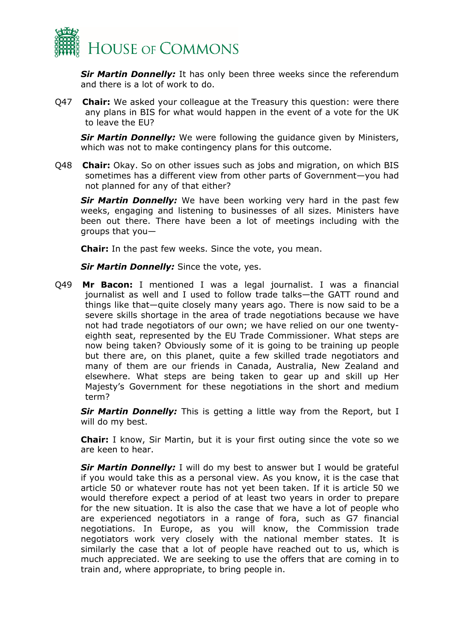

*Sir Martin Donnelly:* It has only been three weeks since the referendum and there is a lot of work to do.

Q47 **Chair:** We asked your colleague at the Treasury this question: were there any plans in BIS for what would happen in the event of a vote for the UK to leave the EU?

*Sir Martin Donnelly:* We were following the guidance given by Ministers, which was not to make contingency plans for this outcome.

Q48 **Chair:** Okay. So on other issues such as jobs and migration, on which BIS sometimes has a different view from other parts of Government—you had not planned for any of that either?

*Sir Martin Donnelly:* We have been working very hard in the past few weeks, engaging and listening to businesses of all sizes. Ministers have been out there. There have been a lot of meetings including with the groups that you—

**Chair:** In the past few weeks. Since the vote, you mean.

*Sir Martin Donnelly:* Since the vote, yes.

Q49 **Mr Bacon:** I mentioned I was a legal journalist. I was a financial journalist as well and I used to follow trade talks—the GATT round and things like that—quite closely many years ago. There is now said to be a severe skills shortage in the area of trade negotiations because we have not had trade negotiators of our own; we have relied on our one twentyeighth seat, represented by the EU Trade Commissioner. What steps are now being taken? Obviously some of it is going to be training up people but there are, on this planet, quite a few skilled trade negotiators and many of them are our friends in Canada, Australia, New Zealand and elsewhere. What steps are being taken to gear up and skill up Her Majesty's Government for these negotiations in the short and medium term?

**Sir Martin Donnelly:** This is getting a little way from the Report, but I will do my best.

**Chair:** I know, Sir Martin, but it is your first outing since the vote so we are keen to hear.

*Sir Martin Donnelly:* I will do my best to answer but I would be grateful if you would take this as a personal view. As you know, it is the case that article 50 or whatever route has not yet been taken. If it is article 50 we would therefore expect a period of at least two years in order to prepare for the new situation. It is also the case that we have a lot of people who are experienced negotiators in a range of fora, such as G7 financial negotiations. In Europe, as you will know, the Commission trade negotiators work very closely with the national member states. It is similarly the case that a lot of people have reached out to us, which is much appreciated. We are seeking to use the offers that are coming in to train and, where appropriate, to bring people in.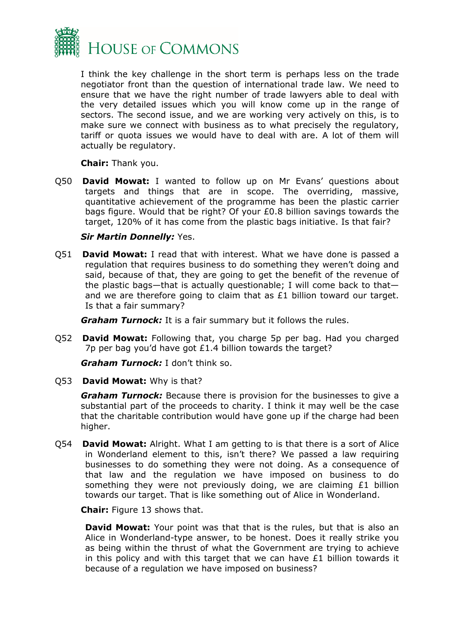

I think the key challenge in the short term is perhaps less on the trade negotiator front than the question of international trade law. We need to ensure that we have the right number of trade lawyers able to deal with the very detailed issues which you will know come up in the range of sectors. The second issue, and we are working very actively on this, is to make sure we connect with business as to what precisely the regulatory, tariff or quota issues we would have to deal with are. A lot of them will actually be regulatory.

**Chair:** Thank you.

Q50 **David Mowat:** I wanted to follow up on Mr Evans' questions about targets and things that are in scope. The overriding, massive, quantitative achievement of the programme has been the plastic carrier bags figure. Would that be right? Of your £0.8 billion savings towards the target, 120% of it has come from the plastic bags initiative. Is that fair?

#### *Sir Martin Donnelly:* Yes.

Q51 **David Mowat:** I read that with interest. What we have done is passed a regulation that requires business to do something they weren't doing and said, because of that, they are going to get the benefit of the revenue of the plastic bags—that is actually questionable; I will come back to that and we are therefore going to claim that as £1 billion toward our target. Is that a fair summary?

*Graham Turnock:* It is a fair summary but it follows the rules.

Q52 **David Mowat:** Following that, you charge 5p per bag. Had you charged 7p per bag you'd have got £1.4 billion towards the target?

*Graham Turnock:* I don't think so.

#### Q53 **David Mowat:** Why is that?

*Graham Turnock:* Because there is provision for the businesses to give a substantial part of the proceeds to charity. I think it may well be the case that the charitable contribution would have gone up if the charge had been higher.

Q54 **David Mowat:** Alright. What I am getting to is that there is a sort of Alice in Wonderland element to this, isn't there? We passed a law requiring businesses to do something they were not doing. As a consequence of that law and the regulation we have imposed on business to do something they were not previously doing, we are claiming £1 billion towards our target. That is like something out of Alice in Wonderland.

**Chair:** Figure 13 shows that.

**David Mowat:** Your point was that that is the rules, but that is also an Alice in Wonderland-type answer, to be honest. Does it really strike you as being within the thrust of what the Government are trying to achieve in this policy and with this target that we can have  $£1$  billion towards it because of a regulation we have imposed on business?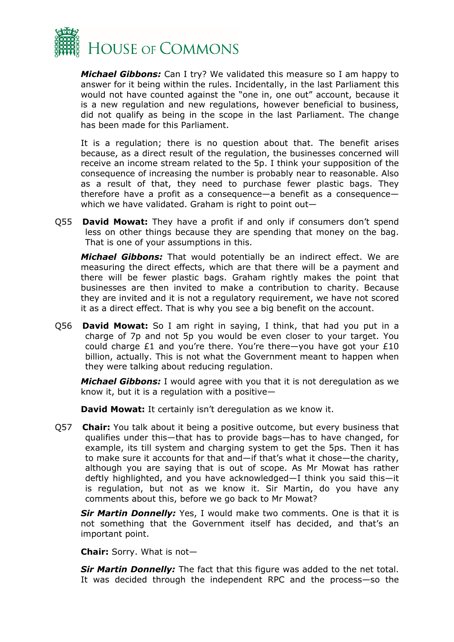

*Michael Gibbons:* Can I try? We validated this measure so I am happy to answer for it being within the rules. Incidentally, in the last Parliament this would not have counted against the "one in, one out" account, because it is a new regulation and new regulations, however beneficial to business, did not qualify as being in the scope in the last Parliament. The change has been made for this Parliament.

It is a regulation; there is no question about that. The benefit arises because, as a direct result of the regulation, the businesses concerned will receive an income stream related to the 5p. I think your supposition of the consequence of increasing the number is probably near to reasonable. Also as a result of that, they need to purchase fewer plastic bags. They therefore have a profit as a consequence—a benefit as a consequence which we have validated. Graham is right to point out—

Q55 **David Mowat:** They have a profit if and only if consumers don't spend less on other things because they are spending that money on the bag. That is one of your assumptions in this.

*Michael Gibbons:* That would potentially be an indirect effect. We are measuring the direct effects, which are that there will be a payment and there will be fewer plastic bags. Graham rightly makes the point that businesses are then invited to make a contribution to charity. Because they are invited and it is not a regulatory requirement, we have not scored it as a direct effect. That is why you see a big benefit on the account.

Q56 **David Mowat:** So I am right in saying, I think, that had you put in a charge of 7p and not 5p you would be even closer to your target. You could charge £1 and you're there. You're there—you have got your £10 billion, actually. This is not what the Government meant to happen when they were talking about reducing regulation.

*Michael Gibbons:* I would agree with you that it is not deregulation as we know it, but it is a regulation with a positive—

**David Mowat:** It certainly isn't deregulation as we know it.

Q57 **Chair:** You talk about it being a positive outcome, but every business that qualifies under this—that has to provide bags—has to have changed, for example, its till system and charging system to get the 5ps. Then it has to make sure it accounts for that and—if that's what it chose—the charity, although you are saying that is out of scope. As Mr Mowat has rather deftly highlighted, and you have acknowledged—I think you said this—it is regulation, but not as we know it. Sir Martin, do you have any comments about this, before we go back to Mr Mowat?

*Sir Martin Donnelly:* Yes, I would make two comments. One is that it is not something that the Government itself has decided, and that's an important point.

**Chair:** Sorry. What is not—

*Sir Martin Donnelly:* The fact that this figure was added to the net total. It was decided through the independent RPC and the process—so the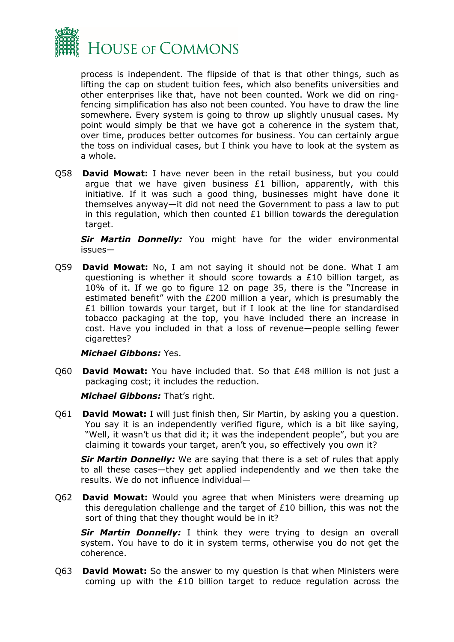

process is independent. The flipside of that is that other things, such as lifting the cap on student tuition fees, which also benefits universities and other enterprises like that, have not been counted. Work we did on ringfencing simplification has also not been counted. You have to draw the line somewhere. Every system is going to throw up slightly unusual cases. My point would simply be that we have got a coherence in the system that, over time, produces better outcomes for business. You can certainly argue the toss on individual cases, but I think you have to look at the system as a whole.

Q58 **David Mowat:** I have never been in the retail business, but you could argue that we have given business  $E1$  billion, apparently, with this initiative. If it was such a good thing, businesses might have done it themselves anyway—it did not need the Government to pass a law to put in this regulation, which then counted  $E1$  billion towards the deregulation target.

*Sir Martin Donnelly:* You might have for the wider environmental issues—

Q59 **David Mowat:** No, I am not saying it should not be done. What I am questioning is whether it should score towards a  $£10$  billion target, as 10% of it. If we go to figure 12 on page 35, there is the "Increase in estimated benefit" with the £200 million a year, which is presumably the £1 billion towards your target, but if I look at the line for standardised tobacco packaging at the top, you have included there an increase in cost. Have you included in that a loss of revenue—people selling fewer cigarettes?

#### *Michael Gibbons:* Yes.

Q60 **David Mowat:** You have included that. So that £48 million is not just a packaging cost; it includes the reduction.

*Michael Gibbons:* That's right.

Q61 **David Mowat:** I will just finish then, Sir Martin, by asking you a question. You say it is an independently verified figure, which is a bit like saying, "Well, it wasn't us that did it; it was the independent people", but you are claiming it towards your target, aren't you, so effectively you own it?

*Sir Martin Donnelly:* We are saying that there is a set of rules that apply to all these cases—they get applied independently and we then take the results. We do not influence individual—

Q62 **David Mowat:** Would you agree that when Ministers were dreaming up this deregulation challenge and the target of £10 billion, this was not the sort of thing that they thought would be in it?

*Sir Martin Donnelly:* I think they were trying to design an overall system. You have to do it in system terms, otherwise you do not get the coherence.

Q63 **David Mowat:** So the answer to my question is that when Ministers were coming up with the £10 billion target to reduce regulation across the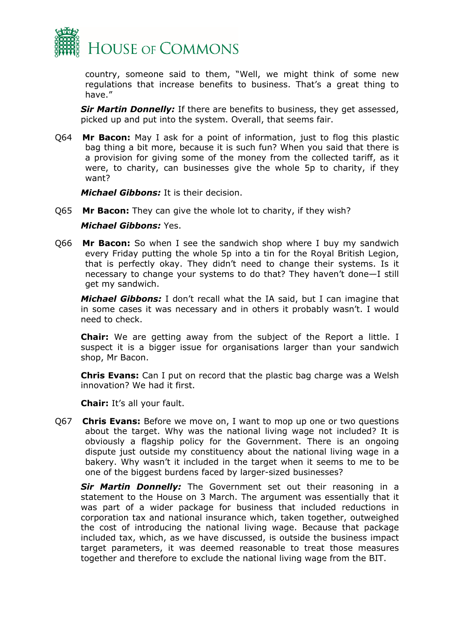

country, someone said to them, "Well, we might think of some new regulations that increase benefits to business. That's a great thing to have."

*Sir Martin Donnelly:* If there are benefits to business, they get assessed, picked up and put into the system. Overall, that seems fair.

Q64 **Mr Bacon:** May I ask for a point of information, just to flog this plastic bag thing a bit more, because it is such fun? When you said that there is a provision for giving some of the money from the collected tariff, as it were, to charity, can businesses give the whole 5p to charity, if they want?

*Michael Gibbons:* It is their decision.

Q65 **Mr Bacon:** They can give the whole lot to charity, if they wish?

#### *Michael Gibbons:* Yes.

Q66 **Mr Bacon:** So when I see the sandwich shop where I buy my sandwich every Friday putting the whole 5p into a tin for the Royal British Legion, that is perfectly okay. They didn't need to change their systems. Is it necessary to change your systems to do that? They haven't done—I still get my sandwich.

*Michael Gibbons:* I don't recall what the IA said, but I can imagine that in some cases it was necessary and in others it probably wasn't. I would need to check.

**Chair:** We are getting away from the subject of the Report a little. I suspect it is a bigger issue for organisations larger than your sandwich shop, Mr Bacon.

**Chris Evans:** Can I put on record that the plastic bag charge was a Welsh innovation? We had it first.

**Chair:** It's all your fault.

Q67 **Chris Evans:** Before we move on, I want to mop up one or two questions about the target. Why was the national living wage not included? It is obviously a flagship policy for the Government. There is an ongoing dispute just outside my constituency about the national living wage in a bakery. Why wasn't it included in the target when it seems to me to be one of the biggest burdens faced by larger-sized businesses?

*Sir Martin Donnelly:* The Government set out their reasoning in a statement to the House on 3 March. The argument was essentially that it was part of a wider package for business that included reductions in corporation tax and national insurance which, taken together, outweighed the cost of introducing the national living wage. Because that package included tax, which, as we have discussed, is outside the business impact target parameters, it was deemed reasonable to treat those measures together and therefore to exclude the national living wage from the BIT.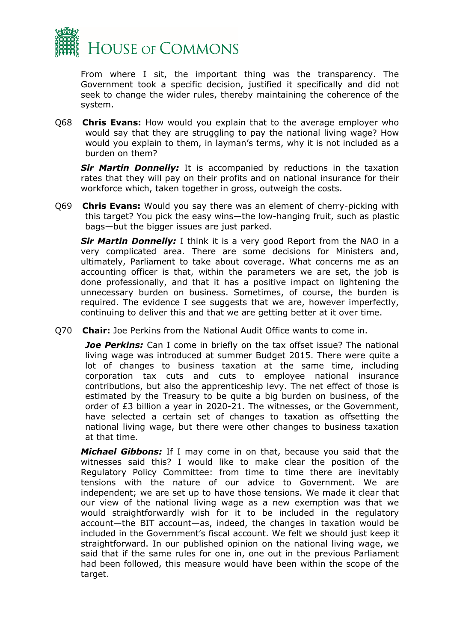

From where I sit, the important thing was the transparency. The Government took a specific decision, justified it specifically and did not seek to change the wider rules, thereby maintaining the coherence of the system.

Q68 **Chris Evans:** How would you explain that to the average employer who would say that they are struggling to pay the national living wage? How would you explain to them, in layman's terms, why it is not included as a burden on them?

**Sir Martin Donnelly:** It is accompanied by reductions in the taxation rates that they will pay on their profits and on national insurance for their workforce which, taken together in gross, outweigh the costs.

Q69 **Chris Evans:** Would you say there was an element of cherry-picking with this target? You pick the easy wins—the low-hanging fruit, such as plastic bags—but the bigger issues are just parked.

*Sir Martin Donnelly:* I think it is a very good Report from the NAO in a very complicated area. There are some decisions for Ministers and, ultimately, Parliament to take about coverage. What concerns me as an accounting officer is that, within the parameters we are set, the job is done professionally, and that it has a positive impact on lightening the unnecessary burden on business. Sometimes, of course, the burden is required. The evidence I see suggests that we are, however imperfectly, continuing to deliver this and that we are getting better at it over time.

Q70 **Chair:** Joe Perkins from the National Audit Office wants to come in.

**Joe Perkins:** Can I come in briefly on the tax offset issue? The national living wage was introduced at summer Budget 2015. There were quite a lot of changes to business taxation at the same time, including corporation tax cuts and cuts to employee national insurance contributions, but also the apprenticeship levy. The net effect of those is estimated by the Treasury to be quite a big burden on business, of the order of £3 billion a year in 2020-21. The witnesses, or the Government, have selected a certain set of changes to taxation as offsetting the national living wage, but there were other changes to business taxation at that time.

*Michael Gibbons:* If I may come in on that, because you said that the witnesses said this? I would like to make clear the position of the Regulatory Policy Committee: from time to time there are inevitably tensions with the nature of our advice to Government. We are independent; we are set up to have those tensions. We made it clear that our view of the national living wage as a new exemption was that we would straightforwardly wish for it to be included in the regulatory account—the BIT account—as, indeed, the changes in taxation would be included in the Government's fiscal account. We felt we should just keep it straightforward. In our published opinion on the national living wage, we said that if the same rules for one in, one out in the previous Parliament had been followed, this measure would have been within the scope of the target.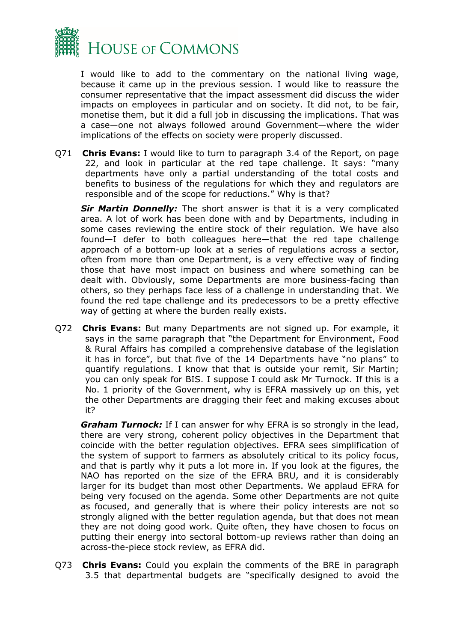

I would like to add to the commentary on the national living wage, because it came up in the previous session. I would like to reassure the consumer representative that the impact assessment did discuss the wider impacts on employees in particular and on society. It did not, to be fair, monetise them, but it did a full job in discussing the implications. That was a case—one not always followed around Government—where the wider implications of the effects on society were properly discussed.

Q71 **Chris Evans:** I would like to turn to paragraph 3.4 of the Report, on page 22, and look in particular at the red tape challenge. It says: "many departments have only a partial understanding of the total costs and benefits to business of the regulations for which they and regulators are responsible and of the scope for reductions." Why is that?

*Sir Martin Donnelly:* The short answer is that it is a very complicated area. A lot of work has been done with and by Departments, including in some cases reviewing the entire stock of their regulation. We have also found—I defer to both colleagues here—that the red tape challenge approach of a bottom-up look at a series of regulations across a sector, often from more than one Department, is a very effective way of finding those that have most impact on business and where something can be dealt with. Obviously, some Departments are more business-facing than others, so they perhaps face less of a challenge in understanding that. We found the red tape challenge and its predecessors to be a pretty effective way of getting at where the burden really exists.

Q72 **Chris Evans:** But many Departments are not signed up. For example, it says in the same paragraph that "the Department for Environment, Food & Rural Affairs has compiled a comprehensive database of the legislation it has in force", but that five of the 14 Departments have "no plans" to quantify regulations. I know that that is outside your remit, Sir Martin; you can only speak for BIS. I suppose I could ask Mr Turnock. If this is a No. 1 priority of the Government, why is EFRA massively up on this, yet the other Departments are dragging their feet and making excuses about it?

*Graham Turnock:* If I can answer for why EFRA is so strongly in the lead, there are very strong, coherent policy objectives in the Department that coincide with the better regulation objectives. EFRA sees simplification of the system of support to farmers as absolutely critical to its policy focus, and that is partly why it puts a lot more in. If you look at the figures, the NAO has reported on the size of the EFRA BRU, and it is considerably larger for its budget than most other Departments. We applaud EFRA for being very focused on the agenda. Some other Departments are not quite as focused, and generally that is where their policy interests are not so strongly aligned with the better regulation agenda, but that does not mean they are not doing good work. Quite often, they have chosen to focus on putting their energy into sectoral bottom-up reviews rather than doing an across-the-piece stock review, as EFRA did.

Q73 **Chris Evans:** Could you explain the comments of the BRE in paragraph 3.5 that departmental budgets are "specifically designed to avoid the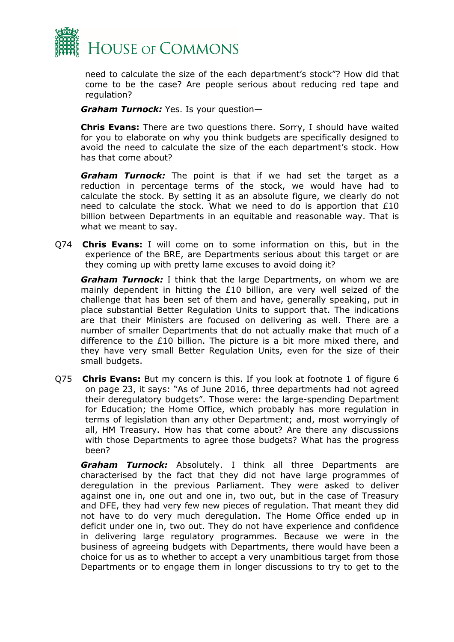

need to calculate the size of the each department's stock"? How did that come to be the case? Are people serious about reducing red tape and regulation?

*Graham Turnock:* Yes. Is your question—

**Chris Evans:** There are two questions there. Sorry, I should have waited for you to elaborate on why you think budgets are specifically designed to avoid the need to calculate the size of the each department's stock. How has that come about?

*Graham Turnock:* The point is that if we had set the target as a reduction in percentage terms of the stock, we would have had to calculate the stock. By setting it as an absolute figure, we clearly do not need to calculate the stock. What we need to do is apportion that £10 billion between Departments in an equitable and reasonable way. That is what we meant to say.

Q74 **Chris Evans:** I will come on to some information on this, but in the experience of the BRE, are Departments serious about this target or are they coming up with pretty lame excuses to avoid doing it?

*Graham Turnock:* I think that the large Departments, on whom we are mainly dependent in hitting the  $£10$  billion, are very well seized of the challenge that has been set of them and have, generally speaking, put in place substantial Better Regulation Units to support that. The indications are that their Ministers are focused on delivering as well. There are a number of smaller Departments that do not actually make that much of a difference to the £10 billion. The picture is a bit more mixed there, and they have very small Better Regulation Units, even for the size of their small budgets.

Q75 **Chris Evans:** But my concern is this. If you look at footnote 1 of figure 6 on page 23, it says: "As of June 2016, three departments had not agreed their deregulatory budgets". Those were: the large-spending Department for Education; the Home Office, which probably has more regulation in terms of legislation than any other Department; and, most worryingly of all, HM Treasury. How has that come about? Are there any discussions with those Departments to agree those budgets? What has the progress been?

*Graham Turnock:* Absolutely. I think all three Departments are characterised by the fact that they did not have large programmes of deregulation in the previous Parliament. They were asked to deliver against one in, one out and one in, two out, but in the case of Treasury and DFE, they had very few new pieces of regulation. That meant they did not have to do very much deregulation. The Home Office ended up in deficit under one in, two out. They do not have experience and confidence in delivering large regulatory programmes. Because we were in the business of agreeing budgets with Departments, there would have been a choice for us as to whether to accept a very unambitious target from those Departments or to engage them in longer discussions to try to get to the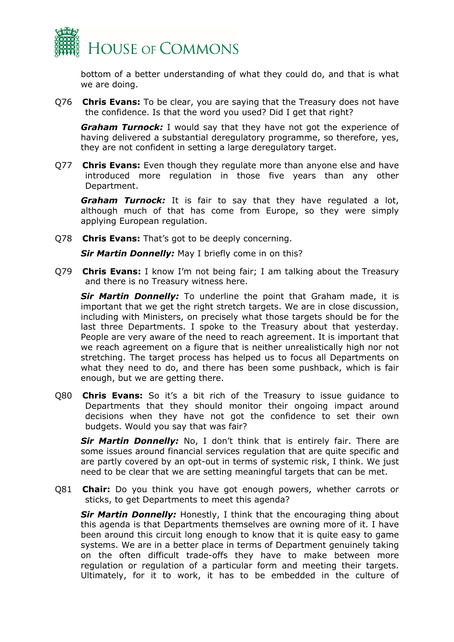

bottom of a better understanding of what they could do, and that is what we are doing.

Q76 **Chris Evans:** To be clear, you are saying that the Treasury does not have the confidence. Is that the word you used? Did I get that right?

*Graham Turnock:* I would say that they have not got the experience of having delivered a substantial deregulatory programme, so therefore, yes, they are not confident in setting a large deregulatory target.

Q77 **Chris Evans:** Even though they regulate more than anyone else and have introduced more regulation in those five years than any other Department.

*Graham Turnock:* It is fair to say that they have regulated a lot, although much of that has come from Europe, so they were simply applying European regulation.

Q78 **Chris Evans:** That's got to be deeply concerning.

*Sir Martin Donnelly:* May I briefly come in on this?

Q79 **Chris Evans:** I know I'm not being fair; I am talking about the Treasury and there is no Treasury witness here.

*Sir Martin Donnelly:* To underline the point that Graham made, it is important that we get the right stretch targets. We are in close discussion, including with Ministers, on precisely what those targets should be for the last three Departments. I spoke to the Treasury about that yesterday. People are very aware of the need to reach agreement. It is important that we reach agreement on a figure that is neither unrealistically high nor not stretching. The target process has helped us to focus all Departments on what they need to do, and there has been some pushback, which is fair enough, but we are getting there.

Q80 **Chris Evans:** So it's a bit rich of the Treasury to issue guidance to Departments that they should monitor their ongoing impact around decisions when they have not got the confidence to set their own budgets. Would you say that was fair?

*Sir Martin Donnelly:* No, I don't think that is entirely fair. There are some issues around financial services regulation that are quite specific and are partly covered by an opt-out in terms of systemic risk, I think. We just need to be clear that we are setting meaningful targets that can be met.

Q81 **Chair:** Do you think you have got enough powers, whether carrots or sticks, to get Departments to meet this agenda?

**Sir Martin Donnelly:** Honestly, I think that the encouraging thing about this agenda is that Departments themselves are owning more of it. I have been around this circuit long enough to know that it is quite easy to game systems. We are in a better place in terms of Department genuinely taking on the often difficult trade-offs they have to make between more regulation or regulation of a particular form and meeting their targets. Ultimately, for it to work, it has to be embedded in the culture of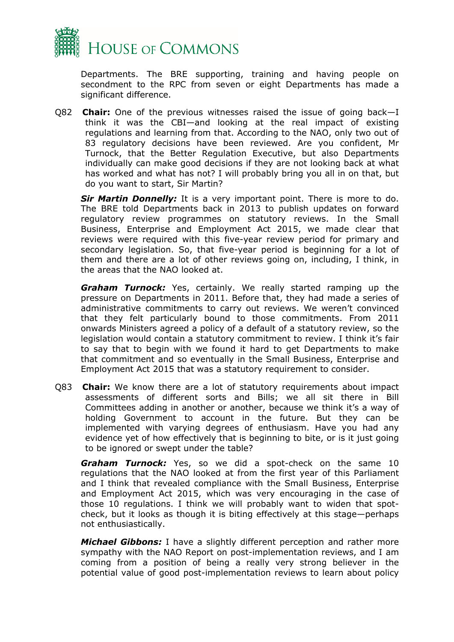

Departments. The BRE supporting, training and having people on secondment to the RPC from seven or eight Departments has made a significant difference.

Q82 **Chair:** One of the previous witnesses raised the issue of going back—I think it was the CBI—and looking at the real impact of existing regulations and learning from that. According to the NAO, only two out of 83 regulatory decisions have been reviewed. Are you confident, Mr Turnock, that the Better Regulation Executive, but also Departments individually can make good decisions if they are not looking back at what has worked and what has not? I will probably bring you all in on that, but do you want to start, Sir Martin?

*Sir Martin Donnelly:* It is a very important point. There is more to do. The BRE told Departments back in 2013 to publish updates on forward regulatory review programmes on statutory reviews. In the Small Business, Enterprise and Employment Act 2015, we made clear that reviews were required with this five-year review period for primary and secondary legislation. So, that five-year period is beginning for a lot of them and there are a lot of other reviews going on, including, I think, in the areas that the NAO looked at.

*Graham Turnock:* Yes, certainly. We really started ramping up the pressure on Departments in 2011. Before that, they had made a series of administrative commitments to carry out reviews. We weren't convinced that they felt particularly bound to those commitments. From 2011 onwards Ministers agreed a policy of a default of a statutory review, so the legislation would contain a statutory commitment to review. I think it's fair to say that to begin with we found it hard to get Departments to make that commitment and so eventually in the Small Business, Enterprise and Employment Act 2015 that was a statutory requirement to consider.

Q83 **Chair:** We know there are a lot of statutory requirements about impact assessments of different sorts and Bills; we all sit there in Bill Committees adding in another or another, because we think it's a way of holding Government to account in the future. But they can be implemented with varying degrees of enthusiasm. Have you had any evidence yet of how effectively that is beginning to bite, or is it just going to be ignored or swept under the table?

*Graham Turnock:* Yes, so we did a spot-check on the same 10 regulations that the NAO looked at from the first year of this Parliament and I think that revealed compliance with the Small Business, Enterprise and Employment Act 2015, which was very encouraging in the case of those 10 regulations. I think we will probably want to widen that spotcheck, but it looks as though it is biting effectively at this stage—perhaps not enthusiastically.

*Michael Gibbons:* I have a slightly different perception and rather more sympathy with the NAO Report on post-implementation reviews, and I am coming from a position of being a really very strong believer in the potential value of good post-implementation reviews to learn about policy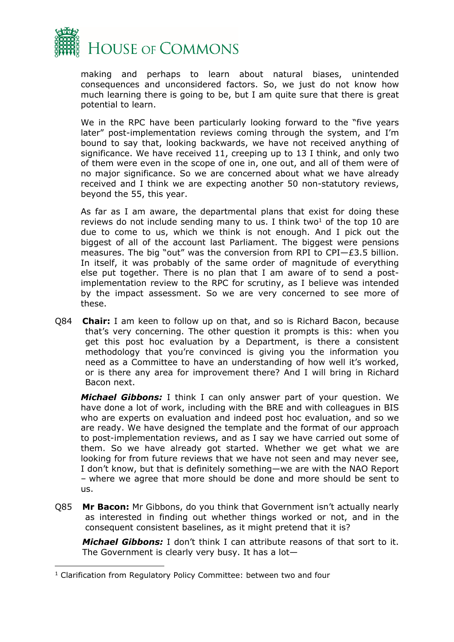

making and perhaps to learn about natural biases, unintended consequences and unconsidered factors. So, we just do not know how much learning there is going to be, but I am quite sure that there is great potential to learn.

We in the RPC have been particularly looking forward to the "five years" later" post-implementation reviews coming through the system, and I'm bound to say that, looking backwards, we have not received anything of significance. We have received 11, creeping up to 13 I think, and only two of them were even in the scope of one in, one out, and all of them were of no major significance. So we are concerned about what we have already received and I think we are expecting another 50 non-statutory reviews, beyond the 55, this year.

As far as I am aware, the departmental plans that exist for doing these reviews do not include sending many to us. I think two<sup>1</sup> of the top 10 are due to come to us, which we think is not enough. And I pick out the biggest of all of the account last Parliament. The biggest were pensions measures. The big "out" was the conversion from RPI to CPI—£3.5 billion. In itself, it was probably of the same order of magnitude of everything else put together. There is no plan that I am aware of to send a postimplementation review to the RPC for scrutiny, as I believe was intended by the impact assessment. So we are very concerned to see more of these.

Q84 **Chair:** I am keen to follow up on that, and so is Richard Bacon, because that's very concerning. The other question it prompts is this: when you get this post hoc evaluation by a Department, is there a consistent methodology that you're convinced is giving you the information you need as a Committee to have an understanding of how well it's worked, or is there any area for improvement there? And I will bring in Richard Bacon next.

*Michael Gibbons:* I think I can only answer part of your question. We have done a lot of work, including with the BRE and with colleagues in BIS who are experts on evaluation and indeed post hoc evaluation, and so we are ready. We have designed the template and the format of our approach to post-implementation reviews, and as I say we have carried out some of them. So we have already got started. Whether we get what we are looking for from future reviews that we have not seen and may never see, I don't know, but that is definitely something—we are with the NAO Report – where we agree that more should be done and more should be sent to us.

Q85 **Mr Bacon:** Mr Gibbons, do you think that Government isn't actually nearly as interested in finding out whether things worked or not, and in the consequent consistent baselines, as it might pretend that it is?

*Michael Gibbons:* I don't think I can attribute reasons of that sort to it. The Government is clearly very busy. It has a lot—

<sup>1</sup> Clarification from Regulatory Policy Committee: between two and four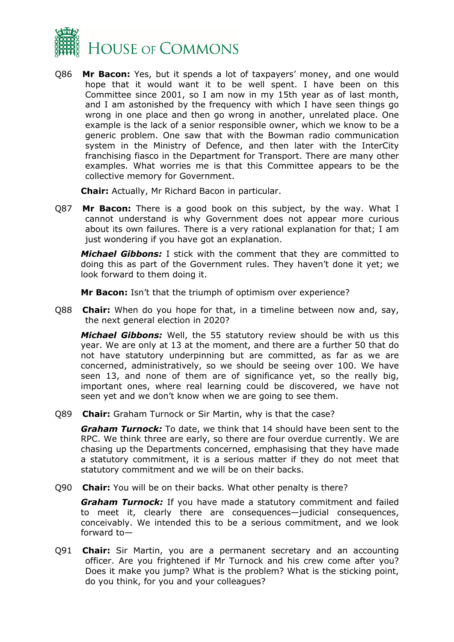

Q86 **Mr Bacon:** Yes, but it spends a lot of taxpayers' money, and one would hope that it would want it to be well spent. I have been on this Committee since 2001, so I am now in my 15th year as of last month, and I am astonished by the frequency with which I have seen things go wrong in one place and then go wrong in another, unrelated place. One example is the lack of a senior responsible owner, which we know to be a generic problem. One saw that with the Bowman radio communication system in the Ministry of Defence, and then later with the InterCity franchising fiasco in the Department for Transport. There are many other examples. What worries me is that this Committee appears to be the collective memory for Government.

**Chair:** Actually, Mr Richard Bacon in particular.

Q87 **Mr Bacon:** There is a good book on this subject, by the way. What I cannot understand is why Government does not appear more curious about its own failures. There is a very rational explanation for that; I am just wondering if you have got an explanation.

*Michael Gibbons:* I stick with the comment that they are committed to doing this as part of the Government rules. They haven't done it yet; we look forward to them doing it.

**Mr Bacon:** Isn't that the triumph of optimism over experience?

Q88 **Chair:** When do you hope for that, in a timeline between now and, say, the next general election in 2020?

*Michael Gibbons:* Well, the 55 statutory review should be with us this year. We are only at 13 at the moment, and there are a further 50 that do not have statutory underpinning but are committed, as far as we are concerned, administratively, so we should be seeing over 100. We have seen 13, and none of them are of significance yet, so the really big, important ones, where real learning could be discovered, we have not seen yet and we don't know when we are going to see them.

Q89 **Chair:** Graham Turnock or Sir Martin, why is that the case?

*Graham Turnock:* To date, we think that 14 should have been sent to the RPC. We think three are early, so there are four overdue currently. We are chasing up the Departments concerned, emphasising that they have made a statutory commitment, it is a serious matter if they do not meet that statutory commitment and we will be on their backs.

Q90 **Chair:** You will be on their backs. What other penalty is there?

*Graham Turnock:* If you have made a statutory commitment and failed to meet it, clearly there are consequences—judicial consequences, conceivably. We intended this to be a serious commitment, and we look forward to—

Q91 **Chair:** Sir Martin, you are a permanent secretary and an accounting officer. Are you frightened if Mr Turnock and his crew come after you? Does it make you jump? What is the problem? What is the sticking point, do you think, for you and your colleagues?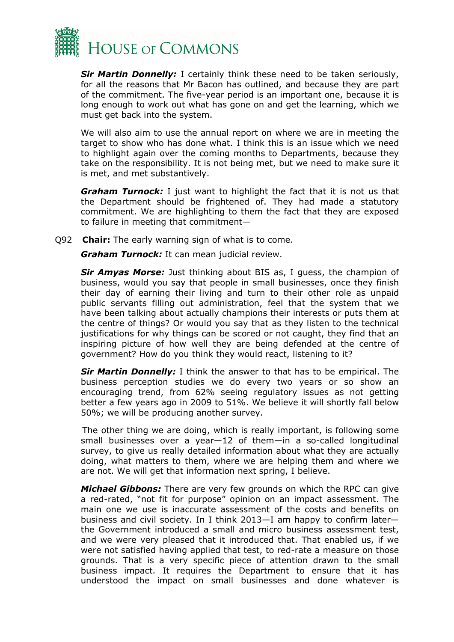

*Sir Martin Donnelly:* I certainly think these need to be taken seriously, for all the reasons that Mr Bacon has outlined, and because they are part of the commitment. The five-year period is an important one, because it is long enough to work out what has gone on and get the learning, which we must get back into the system.

We will also aim to use the annual report on where we are in meeting the target to show who has done what. I think this is an issue which we need to highlight again over the coming months to Departments, because they take on the responsibility. It is not being met, but we need to make sure it is met, and met substantively.

*Graham Turnock:* I just want to highlight the fact that it is not us that the Department should be frightened of. They had made a statutory commitment. We are highlighting to them the fact that they are exposed to failure in meeting that commitment—

Q92 **Chair:** The early warning sign of what is to come.

*Graham Turnock:* It can mean judicial review.

*Sir Amyas Morse:* Just thinking about BIS as, I guess, the champion of business, would you say that people in small businesses, once they finish their day of earning their living and turn to their other role as unpaid public servants filling out administration, feel that the system that we have been talking about actually champions their interests or puts them at the centre of things? Or would you say that as they listen to the technical justifications for why things can be scored or not caught, they find that an inspiring picture of how well they are being defended at the centre of government? How do you think they would react, listening to it?

*Sir Martin Donnelly:* I think the answer to that has to be empirical. The business perception studies we do every two years or so show an encouraging trend, from 62% seeing regulatory issues as not getting better a few years ago in 2009 to 51%. We believe it will shortly fall below 50%; we will be producing another survey.

The other thing we are doing, which is really important, is following some small businesses over a year—12 of them—in a so-called longitudinal survey, to give us really detailed information about what they are actually doing, what matters to them, where we are helping them and where we are not. We will get that information next spring, I believe.

*Michael Gibbons:* There are very few grounds on which the RPC can give a red-rated, "not fit for purpose" opinion on an impact assessment. The main one we use is inaccurate assessment of the costs and benefits on business and civil society. In I think 2013—I am happy to confirm later the Government introduced a small and micro business assessment test, and we were very pleased that it introduced that. That enabled us, if we were not satisfied having applied that test, to red-rate a measure on those grounds. That is a very specific piece of attention drawn to the small business impact. It requires the Department to ensure that it has understood the impact on small businesses and done whatever is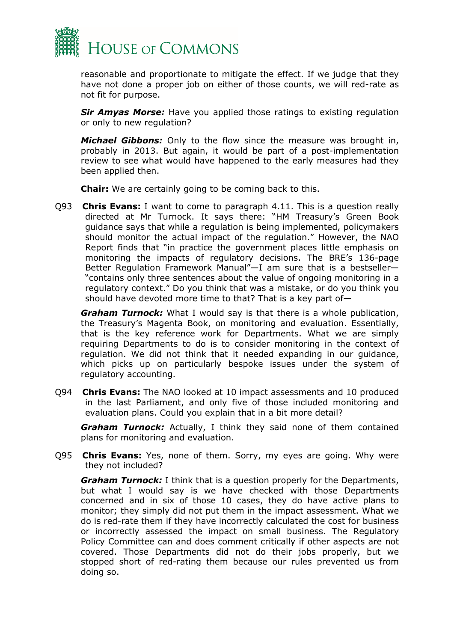

reasonable and proportionate to mitigate the effect. If we judge that they have not done a proper job on either of those counts, we will red-rate as not fit for purpose.

*Sir Amyas Morse:* Have you applied those ratings to existing regulation or only to new regulation?

*Michael Gibbons:* Only to the flow since the measure was brought in, probably in 2013. But again, it would be part of a post-implementation review to see what would have happened to the early measures had they been applied then.

**Chair:** We are certainly going to be coming back to this.

Q93 **Chris Evans:** I want to come to paragraph 4.11. This is a question really directed at Mr Turnock. It says there: "HM Treasury's Green Book guidance says that while a regulation is being implemented, policymakers should monitor the actual impact of the regulation." However, the NAO Report finds that "in practice the government places little emphasis on monitoring the impacts of regulatory decisions. The BRE's 136-page Better Regulation Framework Manual"—I am sure that is a bestseller— "contains only three sentences about the value of ongoing monitoring in a regulatory context." Do you think that was a mistake, or do you think you should have devoted more time to that? That is a key part of—

*Graham Turnock:* What I would say is that there is a whole publication, the Treasury's Magenta Book, on monitoring and evaluation. Essentially, that is the key reference work for Departments. What we are simply requiring Departments to do is to consider monitoring in the context of regulation. We did not think that it needed expanding in our guidance, which picks up on particularly bespoke issues under the system of regulatory accounting.

Q94 **Chris Evans:** The NAO looked at 10 impact assessments and 10 produced in the last Parliament, and only five of those included monitoring and evaluation plans. Could you explain that in a bit more detail?

*Graham Turnock:* Actually, I think they said none of them contained plans for monitoring and evaluation.

Q95 **Chris Evans:** Yes, none of them. Sorry, my eyes are going. Why were they not included?

*Graham Turnock:* I think that is a question properly for the Departments, but what I would say is we have checked with those Departments concerned and in six of those 10 cases, they do have active plans to monitor; they simply did not put them in the impact assessment. What we do is red-rate them if they have incorrectly calculated the cost for business or incorrectly assessed the impact on small business. The Regulatory Policy Committee can and does comment critically if other aspects are not covered. Those Departments did not do their jobs properly, but we stopped short of red-rating them because our rules prevented us from doing so.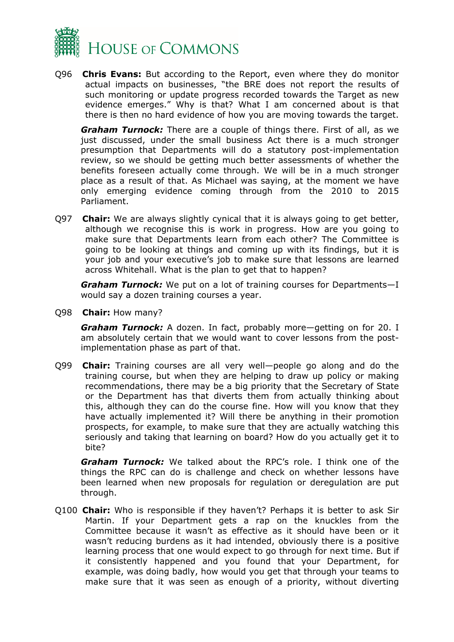

Q96 **Chris Evans:** But according to the Report, even where they do monitor actual impacts on businesses, "the BRE does not report the results of such monitoring or update progress recorded towards the Target as new evidence emerges." Why is that? What I am concerned about is that there is then no hard evidence of how you are moving towards the target.

*Graham Turnock:* There are a couple of things there. First of all, as we just discussed, under the small business Act there is a much stronger presumption that Departments will do a statutory post-implementation review, so we should be getting much better assessments of whether the benefits foreseen actually come through. We will be in a much stronger place as a result of that. As Michael was saying, at the moment we have only emerging evidence coming through from the 2010 to 2015 Parliament.

Q97 **Chair:** We are always slightly cynical that it is always going to get better, although we recognise this is work in progress. How are you going to make sure that Departments learn from each other? The Committee is going to be looking at things and coming up with its findings, but it is your job and your executive's job to make sure that lessons are learned across Whitehall. What is the plan to get that to happen?

*Graham Turnock:* We put on a lot of training courses for Departments—I would say a dozen training courses a year.

Q98 **Chair:** How many?

*Graham Turnock:* A dozen. In fact, probably more—getting on for 20. I am absolutely certain that we would want to cover lessons from the postimplementation phase as part of that.

Q99 **Chair:** Training courses are all very well—people go along and do the training course, but when they are helping to draw up policy or making recommendations, there may be a big priority that the Secretary of State or the Department has that diverts them from actually thinking about this, although they can do the course fine. How will you know that they have actually implemented it? Will there be anything in their promotion prospects, for example, to make sure that they are actually watching this seriously and taking that learning on board? How do you actually get it to bite?

*Graham Turnock:* We talked about the RPC's role. I think one of the things the RPC can do is challenge and check on whether lessons have been learned when new proposals for regulation or deregulation are put through.

Q100 **Chair:** Who is responsible if they haven't? Perhaps it is better to ask Sir Martin. If your Department gets a rap on the knuckles from the Committee because it wasn't as effective as it should have been or it wasn't reducing burdens as it had intended, obviously there is a positive learning process that one would expect to go through for next time. But if it consistently happened and you found that your Department, for example, was doing badly, how would you get that through your teams to make sure that it was seen as enough of a priority, without diverting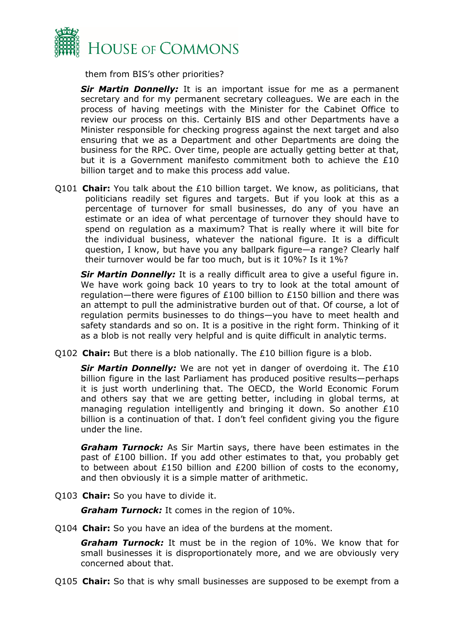

them from BIS's other priorities?

*Sir Martin Donnelly:* It is an important issue for me as a permanent secretary and for my permanent secretary colleagues. We are each in the process of having meetings with the Minister for the Cabinet Office to review our process on this. Certainly BIS and other Departments have a Minister responsible for checking progress against the next target and also ensuring that we as a Department and other Departments are doing the business for the RPC. Over time, people are actually getting better at that, but it is a Government manifesto commitment both to achieve the £10 billion target and to make this process add value.

Q101 **Chair:** You talk about the £10 billion target. We know, as politicians, that politicians readily set figures and targets. But if you look at this as a percentage of turnover for small businesses, do any of you have an estimate or an idea of what percentage of turnover they should have to spend on regulation as a maximum? That is really where it will bite for the individual business, whatever the national figure. It is a difficult question, I know, but have you any ballpark figure—a range? Clearly half their turnover would be far too much, but is it 10%? Is it 1%?

*Sir Martin Donnelly:* It is a really difficult area to give a useful figure in. We have work going back 10 years to try to look at the total amount of regulation—there were figures of £100 billion to £150 billion and there was an attempt to pull the administrative burden out of that. Of course, a lot of regulation permits businesses to do things—you have to meet health and safety standards and so on. It is a positive in the right form. Thinking of it as a blob is not really very helpful and is quite difficult in analytic terms.

Q102 **Chair:** But there is a blob nationally. The £10 billion figure is a blob.

*Sir Martin Donnelly:* We are not yet in danger of overdoing it. The £10 billion figure in the last Parliament has produced positive results—perhaps it is just worth underlining that. The OECD, the World Economic Forum and others say that we are getting better, including in global terms, at managing regulation intelligently and bringing it down. So another £10 billion is a continuation of that. I don't feel confident giving you the figure under the line.

*Graham Turnock:* As Sir Martin says, there have been estimates in the past of £100 billion. If you add other estimates to that, you probably get to between about £150 billion and £200 billion of costs to the economy, and then obviously it is a simple matter of arithmetic.

Q103 **Chair:** So you have to divide it.

*Graham Turnock:* It comes in the region of 10%.

Q104 **Chair:** So you have an idea of the burdens at the moment.

*Graham Turnock:* It must be in the region of 10%. We know that for small businesses it is disproportionately more, and we are obviously very concerned about that.

Q105 **Chair:** So that is why small businesses are supposed to be exempt from a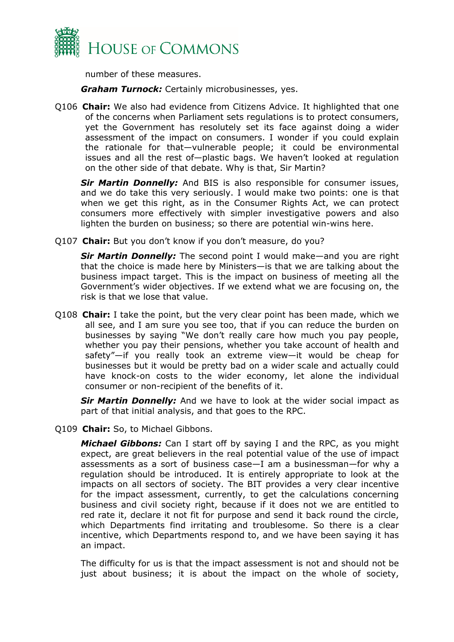

number of these measures.

*Graham Turnock:* Certainly microbusinesses, yes.

Q106 **Chair:** We also had evidence from Citizens Advice. It highlighted that one of the concerns when Parliament sets regulations is to protect consumers, yet the Government has resolutely set its face against doing a wider assessment of the impact on consumers. I wonder if you could explain the rationale for that—vulnerable people; it could be environmental issues and all the rest of—plastic bags. We haven't looked at regulation on the other side of that debate. Why is that, Sir Martin?

*Sir Martin Donnelly:* And BIS is also responsible for consumer issues, and we do take this very seriously. I would make two points: one is that when we get this right, as in the Consumer Rights Act, we can protect consumers more effectively with simpler investigative powers and also lighten the burden on business; so there are potential win-wins here.

Q107 **Chair:** But you don't know if you don't measure, do you?

*Sir Martin Donnelly:* The second point I would make—and you are right that the choice is made here by Ministers—is that we are talking about the business impact target. This is the impact on business of meeting all the Government's wider objectives. If we extend what we are focusing on, the risk is that we lose that value.

Q108 **Chair:** I take the point, but the very clear point has been made, which we all see, and I am sure you see too, that if you can reduce the burden on businesses by saying "We don't really care how much you pay people, whether you pay their pensions, whether you take account of health and safety"—if you really took an extreme view—it would be cheap for businesses but it would be pretty bad on a wider scale and actually could have knock-on costs to the wider economy, let alone the individual consumer or non-recipient of the benefits of it.

*Sir Martin Donnelly:* And we have to look at the wider social impact as part of that initial analysis, and that goes to the RPC.

Q109 **Chair:** So, to Michael Gibbons.

*Michael Gibbons:* Can I start off by saying I and the RPC, as you might expect, are great believers in the real potential value of the use of impact assessments as a sort of business case—I am a businessman—for why a regulation should be introduced. It is entirely appropriate to look at the impacts on all sectors of society. The BIT provides a very clear incentive for the impact assessment, currently, to get the calculations concerning business and civil society right, because if it does not we are entitled to red rate it, declare it not fit for purpose and send it back round the circle, which Departments find irritating and troublesome. So there is a clear incentive, which Departments respond to, and we have been saying it has an impact.

The difficulty for us is that the impact assessment is not and should not be just about business; it is about the impact on the whole of society,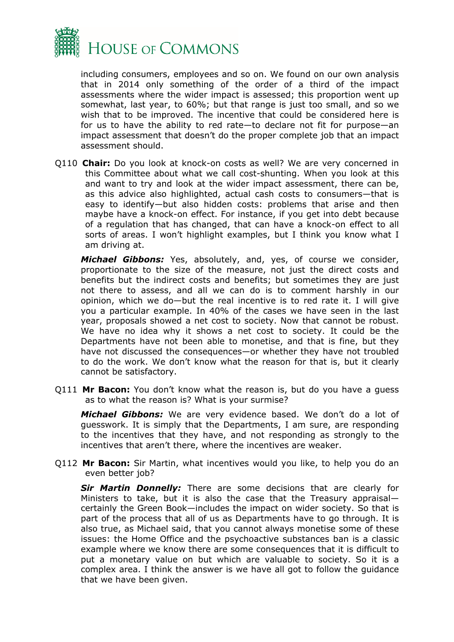

including consumers, employees and so on. We found on our own analysis that in 2014 only something of the order of a third of the impact assessments where the wider impact is assessed; this proportion went up somewhat, last year, to 60%; but that range is just too small, and so we wish that to be improved. The incentive that could be considered here is for us to have the ability to red rate—to declare not fit for purpose—an impact assessment that doesn't do the proper complete job that an impact assessment should.

Q110 **Chair:** Do you look at knock-on costs as well? We are very concerned in this Committee about what we call cost-shunting. When you look at this and want to try and look at the wider impact assessment, there can be, as this advice also highlighted, actual cash costs to consumers—that is easy to identify—but also hidden costs: problems that arise and then maybe have a knock-on effect. For instance, if you get into debt because of a regulation that has changed, that can have a knock-on effect to all sorts of areas. I won't highlight examples, but I think you know what I am driving at.

*Michael Gibbons:* Yes, absolutely, and, yes, of course we consider, proportionate to the size of the measure, not just the direct costs and benefits but the indirect costs and benefits; but sometimes they are just not there to assess, and all we can do is to comment harshly in our opinion, which we do—but the real incentive is to red rate it. I will give you a particular example. In 40% of the cases we have seen in the last year, proposals showed a net cost to society. Now that cannot be robust. We have no idea why it shows a net cost to society. It could be the Departments have not been able to monetise, and that is fine, but they have not discussed the consequences—or whether they have not troubled to do the work. We don't know what the reason for that is, but it clearly cannot be satisfactory.

Q111 **Mr Bacon:** You don't know what the reason is, but do you have a guess as to what the reason is? What is your surmise?

*Michael Gibbons:* We are very evidence based. We don't do a lot of guesswork. It is simply that the Departments, I am sure, are responding to the incentives that they have, and not responding as strongly to the incentives that aren't there, where the incentives are weaker.

Q112 **Mr Bacon:** Sir Martin, what incentives would you like, to help you do an even better job?

*Sir Martin Donnelly:* There are some decisions that are clearly for Ministers to take, but it is also the case that the Treasury appraisal certainly the Green Book—includes the impact on wider society. So that is part of the process that all of us as Departments have to go through. It is also true, as Michael said, that you cannot always monetise some of these issues: the Home Office and the psychoactive substances ban is a classic example where we know there are some consequences that it is difficult to put a monetary value on but which are valuable to society. So it is a complex area. I think the answer is we have all got to follow the guidance that we have been given.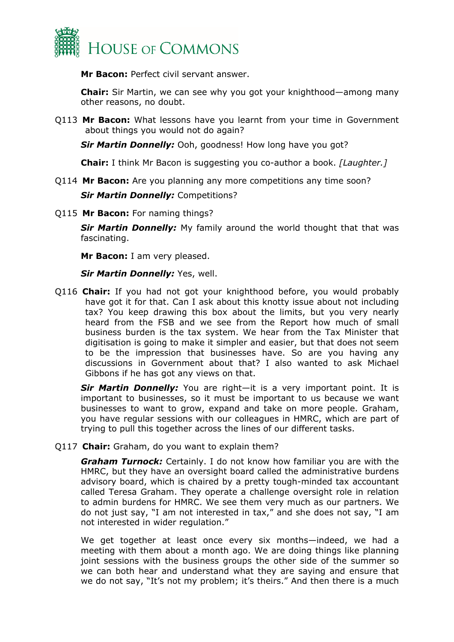

**Mr Bacon:** Perfect civil servant answer.

**Chair:** Sir Martin, we can see why you got your knighthood—among many other reasons, no doubt.

Q113 **Mr Bacon:** What lessons have you learnt from your time in Government about things you would not do again?

*Sir Martin Donnelly:* Ooh, goodness! How long have you got?

**Chair:** I think Mr Bacon is suggesting you co-author a book. *[Laughter.]*

Q114 **Mr Bacon:** Are you planning any more competitions any time soon?

*Sir Martin Donnelly:* Competitions?

Q115 **Mr Bacon:** For naming things?

**Sir Martin Donnelly:** My family around the world thought that that was fascinating.

**Mr Bacon:** I am very pleased.

#### *Sir Martin Donnelly:* Yes, well.

Q116 **Chair:** If you had not got your knighthood before, you would probably have got it for that. Can I ask about this knotty issue about not including tax? You keep drawing this box about the limits, but you very nearly heard from the FSB and we see from the Report how much of small business burden is the tax system. We hear from the Tax Minister that digitisation is going to make it simpler and easier, but that does not seem to be the impression that businesses have. So are you having any discussions in Government about that? I also wanted to ask Michael Gibbons if he has got any views on that.

*Sir Martin Donnelly:* You are right—it is a very important point. It is important to businesses, so it must be important to us because we want businesses to want to grow, expand and take on more people. Graham, you have regular sessions with our colleagues in HMRC, which are part of trying to pull this together across the lines of our different tasks.

Q117 **Chair:** Graham, do you want to explain them?

*Graham Turnock:* Certainly. I do not know how familiar you are with the HMRC, but they have an oversight board called the administrative burdens advisory board, which is chaired by a pretty tough-minded tax accountant called Teresa Graham. They operate a challenge oversight role in relation to admin burdens for HMRC. We see them very much as our partners. We do not just say, "I am not interested in tax," and she does not say, "I am not interested in wider regulation."

We get together at least once every six months—indeed, we had a meeting with them about a month ago. We are doing things like planning joint sessions with the business groups the other side of the summer so we can both hear and understand what they are saying and ensure that we do not say, "It's not my problem; it's theirs." And then there is a much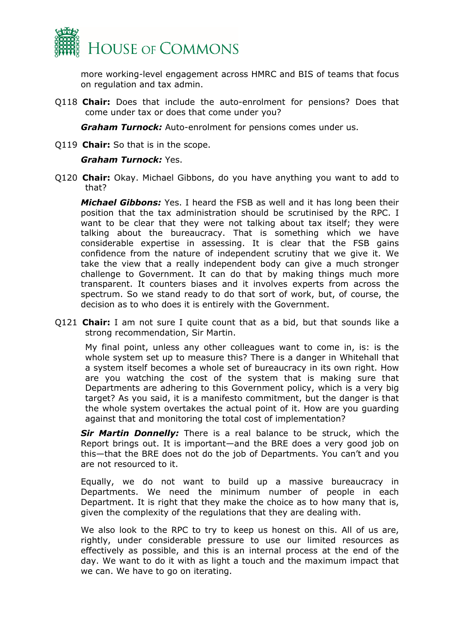

more working-level engagement across HMRC and BIS of teams that focus on regulation and tax admin.

Q118 **Chair:** Does that include the auto-enrolment for pensions? Does that come under tax or does that come under you?

*Graham Turnock:* Auto-enrolment for pensions comes under us.

Q119 **Chair:** So that is in the scope.

#### *Graham Turnock:* Yes.

Q120 **Chair:** Okay. Michael Gibbons, do you have anything you want to add to that?

*Michael Gibbons:* Yes. I heard the FSB as well and it has long been their position that the tax administration should be scrutinised by the RPC. I want to be clear that they were not talking about tax itself; they were talking about the bureaucracy. That is something which we have considerable expertise in assessing. It is clear that the FSB gains confidence from the nature of independent scrutiny that we give it. We take the view that a really independent body can give a much stronger challenge to Government. It can do that by making things much more transparent. It counters biases and it involves experts from across the spectrum. So we stand ready to do that sort of work, but, of course, the decision as to who does it is entirely with the Government.

Q121 **Chair:** I am not sure I quite count that as a bid, but that sounds like a strong recommendation, Sir Martin.

My final point, unless any other colleagues want to come in, is: is the whole system set up to measure this? There is a danger in Whitehall that a system itself becomes a whole set of bureaucracy in its own right. How are you watching the cost of the system that is making sure that Departments are adhering to this Government policy, which is a very big target? As you said, it is a manifesto commitment, but the danger is that the whole system overtakes the actual point of it. How are you guarding against that and monitoring the total cost of implementation?

*Sir Martin Donnelly:* There is a real balance to be struck, which the Report brings out. It is important—and the BRE does a very good job on this—that the BRE does not do the job of Departments. You can't and you are not resourced to it.

Equally, we do not want to build up a massive bureaucracy in Departments. We need the minimum number of people in each Department. It is right that they make the choice as to how many that is, given the complexity of the regulations that they are dealing with.

We also look to the RPC to try to keep us honest on this. All of us are, rightly, under considerable pressure to use our limited resources as effectively as possible, and this is an internal process at the end of the day. We want to do it with as light a touch and the maximum impact that we can. We have to go on iterating.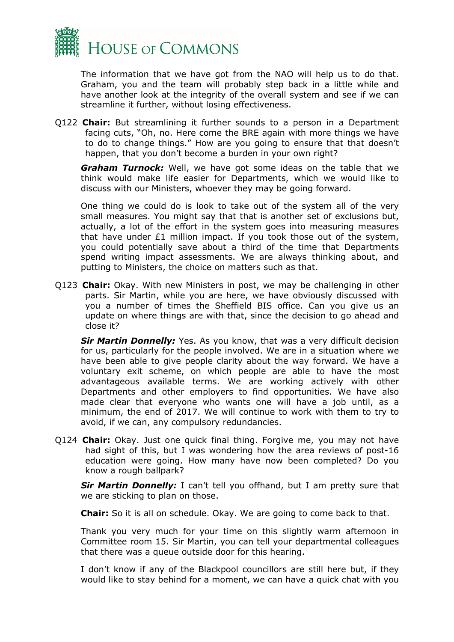

The information that we have got from the NAO will help us to do that. Graham, you and the team will probably step back in a little while and have another look at the integrity of the overall system and see if we can streamline it further, without losing effectiveness.

Q122 **Chair:** But streamlining it further sounds to a person in a Department facing cuts, "Oh, no. Here come the BRE again with more things we have to do to change things." How are you going to ensure that that doesn't happen, that you don't become a burden in your own right?

*Graham Turnock:* Well, we have got some ideas on the table that we think would make life easier for Departments, which we would like to discuss with our Ministers, whoever they may be going forward.

One thing we could do is look to take out of the system all of the very small measures. You might say that that is another set of exclusions but, actually, a lot of the effort in the system goes into measuring measures that have under £1 million impact. If you took those out of the system, you could potentially save about a third of the time that Departments spend writing impact assessments. We are always thinking about, and putting to Ministers, the choice on matters such as that.

Q123 **Chair:** Okay. With new Ministers in post, we may be challenging in other parts. Sir Martin, while you are here, we have obviously discussed with you a number of times the Sheffield BIS office. Can you give us an update on where things are with that, since the decision to go ahead and close it?

*Sir Martin Donnelly:* Yes. As you know, that was a very difficult decision for us, particularly for the people involved. We are in a situation where we have been able to give people clarity about the way forward. We have a voluntary exit scheme, on which people are able to have the most advantageous available terms. We are working actively with other Departments and other employers to find opportunities. We have also made clear that everyone who wants one will have a job until, as a minimum, the end of 2017. We will continue to work with them to try to avoid, if we can, any compulsory redundancies.

Q124 **Chair:** Okay. Just one quick final thing. Forgive me, you may not have had sight of this, but I was wondering how the area reviews of post-16 education were going. How many have now been completed? Do you know a rough ballpark?

*Sir Martin Donnelly:* I can't tell you offhand, but I am pretty sure that we are sticking to plan on those.

**Chair:** So it is all on schedule. Okay. We are going to come back to that.

Thank you very much for your time on this slightly warm afternoon in Committee room 15. Sir Martin, you can tell your departmental colleagues that there was a queue outside door for this hearing.

I don't know if any of the Blackpool councillors are still here but, if they would like to stay behind for a moment, we can have a quick chat with you